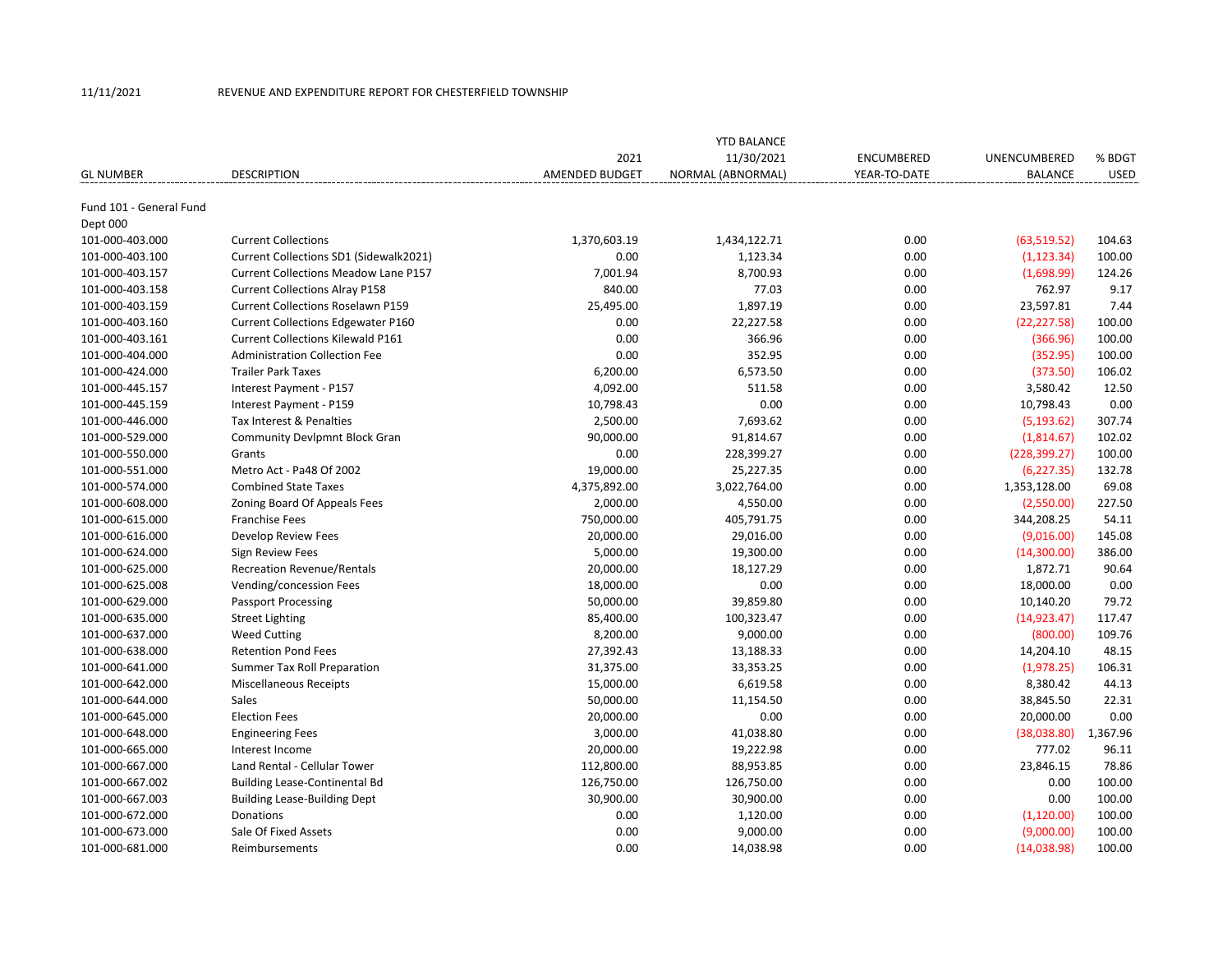|                         | <b>YTD BALANCE</b>                          |                |                   |              |               |             |  |  |
|-------------------------|---------------------------------------------|----------------|-------------------|--------------|---------------|-------------|--|--|
|                         | <b>DESCRIPTION</b>                          | 2021           | 11/30/2021        | ENCUMBERED   | UNENCUMBERED  | % BDGT      |  |  |
| <b>GL NUMBER</b>        |                                             | AMENDED BUDGET | NORMAL (ABNORMAL) | YEAR-TO-DATE | BALANCE       | <b>USED</b> |  |  |
| Fund 101 - General Fund |                                             |                |                   |              |               |             |  |  |
| Dept 000                |                                             |                |                   |              |               |             |  |  |
| 101-000-403.000         | <b>Current Collections</b>                  | 1,370,603.19   | 1,434,122.71      | 0.00         | (63, 519.52)  | 104.63      |  |  |
| 101-000-403.100         | Current Collections SD1 (Sidewalk2021)      | 0.00           | 1,123.34          | 0.00         | (1, 123.34)   | 100.00      |  |  |
| 101-000-403.157         | <b>Current Collections Meadow Lane P157</b> | 7,001.94       | 8,700.93          | 0.00         | (1,698.99)    | 124.26      |  |  |
| 101-000-403.158         | <b>Current Collections Alray P158</b>       | 840.00         | 77.03             | 0.00         | 762.97        | 9.17        |  |  |
| 101-000-403.159         | <b>Current Collections Roselawn P159</b>    | 25,495.00      | 1,897.19          | 0.00         | 23,597.81     | 7.44        |  |  |
| 101-000-403.160         | <b>Current Collections Edgewater P160</b>   | 0.00           | 22,227.58         | 0.00         | (22, 227.58)  | 100.00      |  |  |
| 101-000-403.161         | <b>Current Collections Kilewald P161</b>    | 0.00           | 366.96            | 0.00         | (366.96)      | 100.00      |  |  |
| 101-000-404.000         | <b>Administration Collection Fee</b>        | 0.00           | 352.95            | 0.00         | (352.95)      | 100.00      |  |  |
| 101-000-424.000         | <b>Trailer Park Taxes</b>                   | 6,200.00       | 6,573.50          | 0.00         | (373.50)      | 106.02      |  |  |
| 101-000-445.157         | Interest Payment - P157                     | 4,092.00       | 511.58            | 0.00         | 3,580.42      | 12.50       |  |  |
| 101-000-445.159         | Interest Payment - P159                     | 10,798.43      | 0.00              | 0.00         | 10,798.43     | 0.00        |  |  |
| 101-000-446.000         | Tax Interest & Penalties                    | 2,500.00       | 7,693.62          | 0.00         | (5, 193.62)   | 307.74      |  |  |
| 101-000-529.000         | Community Devlpmnt Block Gran               | 90,000.00      | 91,814.67         | 0.00         | (1,814.67)    | 102.02      |  |  |
| 101-000-550.000         | Grants                                      | 0.00           | 228,399.27        | 0.00         | (228, 399.27) | 100.00      |  |  |
| 101-000-551.000         | Metro Act - Pa48 Of 2002                    | 19,000.00      | 25,227.35         | 0.00         | (6, 227.35)   | 132.78      |  |  |
| 101-000-574.000         | <b>Combined State Taxes</b>                 | 4,375,892.00   | 3,022,764.00      | 0.00         | 1,353,128.00  | 69.08       |  |  |
| 101-000-608.000         | Zoning Board Of Appeals Fees                | 2,000.00       | 4,550.00          | 0.00         | (2,550.00)    | 227.50      |  |  |
| 101-000-615.000         | <b>Franchise Fees</b>                       | 750,000.00     | 405,791.75        | 0.00         | 344,208.25    | 54.11       |  |  |
| 101-000-616.000         | Develop Review Fees                         | 20,000.00      | 29,016.00         | 0.00         | (9,016.00)    | 145.08      |  |  |
| 101-000-624.000         | Sign Review Fees                            | 5,000.00       | 19,300.00         | 0.00         | (14,300.00)   | 386.00      |  |  |
| 101-000-625.000         | <b>Recreation Revenue/Rentals</b>           | 20,000.00      | 18,127.29         | 0.00         | 1,872.71      | 90.64       |  |  |
| 101-000-625.008         | Vending/concession Fees                     | 18,000.00      | 0.00              | 0.00         | 18,000.00     | 0.00        |  |  |
| 101-000-629.000         | <b>Passport Processing</b>                  | 50,000.00      | 39,859.80         | 0.00         | 10,140.20     | 79.72       |  |  |
| 101-000-635.000         | <b>Street Lighting</b>                      | 85,400.00      | 100,323.47        | 0.00         | (14, 923.47)  | 117.47      |  |  |
| 101-000-637.000         | <b>Weed Cutting</b>                         | 8,200.00       | 9,000.00          | 0.00         | (800.00)      | 109.76      |  |  |
| 101-000-638.000         | <b>Retention Pond Fees</b>                  | 27,392.43      | 13,188.33         | 0.00         | 14,204.10     | 48.15       |  |  |
| 101-000-641.000         | Summer Tax Roll Preparation                 | 31,375.00      | 33,353.25         | 0.00         | (1,978.25)    | 106.31      |  |  |
| 101-000-642.000         | Miscellaneous Receipts                      | 15,000.00      | 6,619.58          | 0.00         | 8,380.42      | 44.13       |  |  |
| 101-000-644.000         | Sales                                       | 50,000.00      | 11,154.50         | 0.00         | 38,845.50     | 22.31       |  |  |
| 101-000-645.000         | <b>Election Fees</b>                        | 20,000.00      | 0.00              | 0.00         | 20,000.00     | 0.00        |  |  |
| 101-000-648.000         | <b>Engineering Fees</b>                     | 3,000.00       | 41,038.80         | 0.00         | (38,038.80)   | 1,367.96    |  |  |
| 101-000-665.000         | Interest Income                             | 20,000.00      | 19,222.98         | 0.00         | 777.02        | 96.11       |  |  |
| 101-000-667.000         | Land Rental - Cellular Tower                | 112,800.00     | 88,953.85         | 0.00         | 23,846.15     | 78.86       |  |  |
| 101-000-667.002         | <b>Building Lease-Continental Bd</b>        | 126,750.00     | 126,750.00        | 0.00         | 0.00          | 100.00      |  |  |
| 101-000-667.003         | <b>Building Lease-Building Dept</b>         | 30,900.00      | 30,900.00         | 0.00         | 0.00          | 100.00      |  |  |
| 101-000-672.000         | Donations                                   | 0.00           | 1,120.00          | 0.00         | (1, 120.00)   | 100.00      |  |  |
| 101-000-673.000         | Sale Of Fixed Assets                        | 0.00           | 9,000.00          | 0.00         | (9,000.00)    | 100.00      |  |  |
| 101-000-681.000         | Reimbursements                              | 0.00           | 14,038.98         | 0.00         | (14,038.98)   | 100.00      |  |  |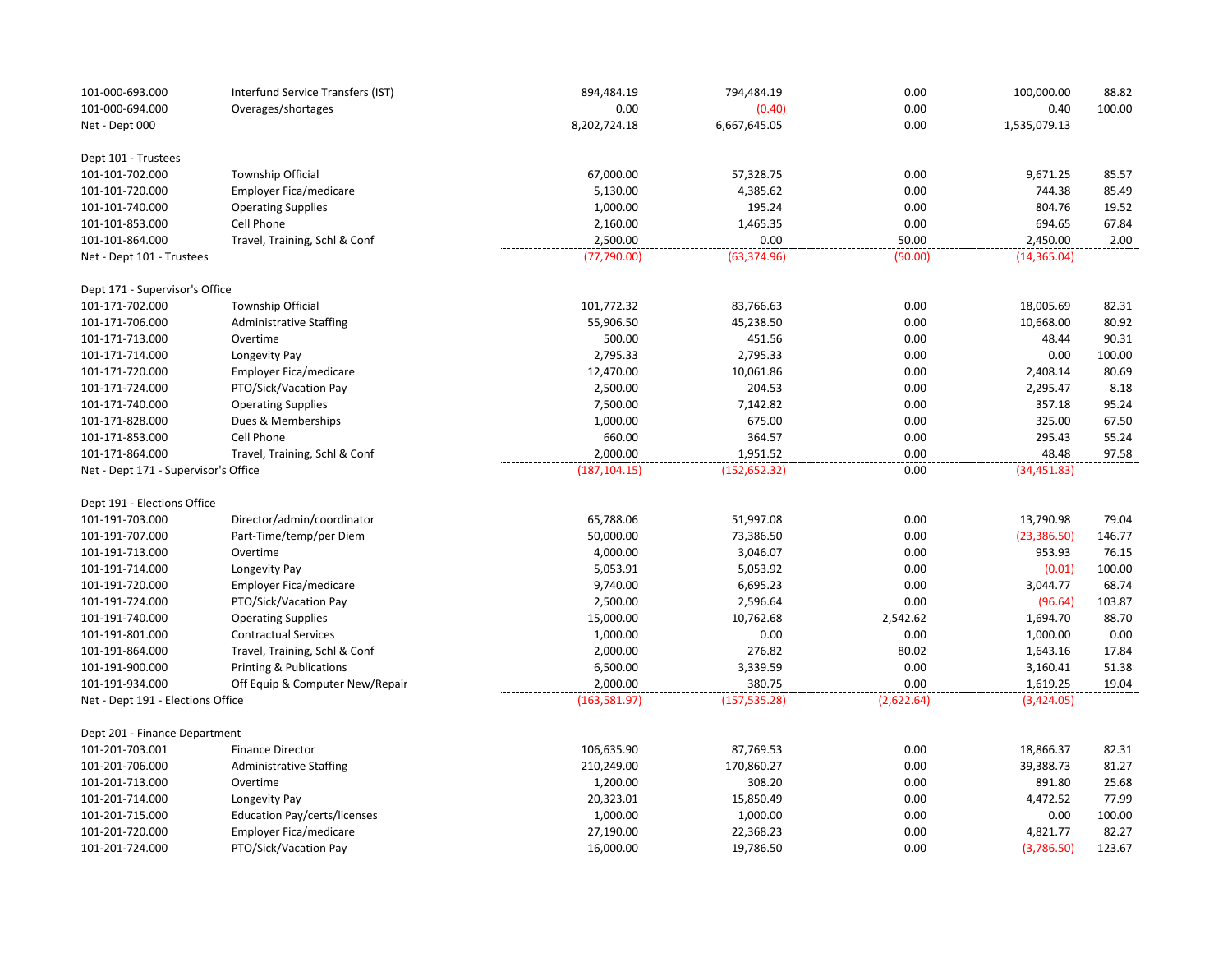| 101-000-693.000                      | Interfund Service Transfers (IST)   | 894,484.19    | 794,484.19    | 0.00       | 100,000.00   | 88.82  |
|--------------------------------------|-------------------------------------|---------------|---------------|------------|--------------|--------|
| 101-000-694.000                      | Overages/shortages                  | 0.00          | (0.40)        | 0.00       | 0.40         | 100.00 |
| Net - Dept 000                       |                                     | 8,202,724.18  | 6,667,645.05  | 0.00       | 1,535,079.13 |        |
| Dept 101 - Trustees                  |                                     |               |               |            |              |        |
| 101-101-702.000                      | Township Official                   | 67,000.00     | 57,328.75     | 0.00       | 9,671.25     | 85.57  |
| 101-101-720.000                      | Employer Fica/medicare              | 5,130.00      | 4,385.62      | 0.00       | 744.38       | 85.49  |
| 101-101-740.000                      | <b>Operating Supplies</b>           | 1,000.00      | 195.24        | 0.00       | 804.76       | 19.52  |
| 101-101-853.000                      | Cell Phone                          | 2,160.00      | 1,465.35      | 0.00       | 694.65       | 67.84  |
| 101-101-864.000                      | Travel, Training, Schl & Conf       | 2,500.00      | 0.00          | 50.00      | 2,450.00     | 2.00   |
| Net - Dept 101 - Trustees            |                                     | (77, 790.00)  | (63, 374.96)  | (50.00)    | (14, 365.04) |        |
|                                      |                                     |               |               |            |              |        |
| Dept 171 - Supervisor's Office       |                                     |               |               |            |              |        |
| 101-171-702.000                      | <b>Township Official</b>            | 101,772.32    | 83,766.63     | 0.00       | 18,005.69    | 82.31  |
| 101-171-706.000                      | <b>Administrative Staffing</b>      | 55,906.50     | 45,238.50     | 0.00       | 10,668.00    | 80.92  |
| 101-171-713.000                      | Overtime                            | 500.00        | 451.56        | 0.00       | 48.44        | 90.31  |
| 101-171-714.000                      | Longevity Pay                       | 2,795.33      | 2,795.33      | 0.00       | 0.00         | 100.00 |
| 101-171-720.000                      | Employer Fica/medicare              | 12,470.00     | 10,061.86     | 0.00       | 2,408.14     | 80.69  |
| 101-171-724.000                      | PTO/Sick/Vacation Pay               | 2,500.00      | 204.53        | 0.00       | 2,295.47     | 8.18   |
| 101-171-740.000                      | <b>Operating Supplies</b>           | 7,500.00      | 7,142.82      | 0.00       | 357.18       | 95.24  |
| 101-171-828.000                      | Dues & Memberships                  | 1,000.00      | 675.00        | 0.00       | 325.00       | 67.50  |
| 101-171-853.000                      | Cell Phone                          | 660.00        | 364.57        | 0.00       | 295.43       | 55.24  |
| 101-171-864.000                      | Travel, Training, Schl & Conf       | 2,000.00      | 1,951.52      | 0.00       | 48.48        | 97.58  |
| Net - Dept 171 - Supervisor's Office |                                     | (187, 104.15) | (152, 652.32) | 0.00       | (34, 451.83) |        |
|                                      |                                     |               |               |            |              |        |
| Dept 191 - Elections Office          |                                     |               |               |            |              |        |
| 101-191-703.000                      | Director/admin/coordinator          | 65,788.06     | 51,997.08     | 0.00       | 13,790.98    | 79.04  |
| 101-191-707.000                      | Part-Time/temp/per Diem             | 50,000.00     | 73,386.50     | 0.00       | (23, 386.50) | 146.77 |
| 101-191-713.000                      | Overtime                            | 4,000.00      | 3,046.07      | 0.00       | 953.93       | 76.15  |
| 101-191-714.000                      | Longevity Pay                       | 5,053.91      | 5,053.92      | 0.00       | (0.01)       | 100.00 |
| 101-191-720.000                      | Employer Fica/medicare              | 9,740.00      | 6,695.23      | 0.00       | 3,044.77     | 68.74  |
| 101-191-724.000                      | PTO/Sick/Vacation Pay               | 2,500.00      | 2,596.64      | 0.00       | (96.64)      | 103.87 |
| 101-191-740.000                      | <b>Operating Supplies</b>           | 15,000.00     | 10,762.68     | 2,542.62   | 1,694.70     | 88.70  |
| 101-191-801.000                      | <b>Contractual Services</b>         | 1,000.00      | 0.00          | 0.00       | 1,000.00     | 0.00   |
| 101-191-864.000                      | Travel, Training, Schl & Conf       | 2,000.00      | 276.82        | 80.02      | 1,643.16     | 17.84  |
| 101-191-900.000                      | Printing & Publications             | 6,500.00      | 3,339.59      | 0.00       | 3,160.41     | 51.38  |
| 101-191-934.000                      | Off Equip & Computer New/Repair     | 2,000.00      | 380.75        | 0.00       | 1,619.25     | 19.04  |
| Net - Dept 191 - Elections Office    |                                     | (163, 581.97) | (157, 535.28) | (2,622.64) | (3,424.05)   |        |
| Dept 201 - Finance Department        |                                     |               |               |            |              |        |
| 101-201-703.001                      | <b>Finance Director</b>             | 106,635.90    | 87,769.53     | 0.00       | 18,866.37    | 82.31  |
| 101-201-706.000                      | <b>Administrative Staffing</b>      | 210,249.00    | 170,860.27    | 0.00       | 39,388.73    | 81.27  |
| 101-201-713.000                      | Overtime                            | 1,200.00      | 308.20        | 0.00       | 891.80       | 25.68  |
| 101-201-714.000                      | Longevity Pay                       | 20,323.01     | 15,850.49     | 0.00       | 4,472.52     | 77.99  |
| 101-201-715.000                      | <b>Education Pay/certs/licenses</b> | 1,000.00      | 1,000.00      | 0.00       | 0.00         | 100.00 |
| 101-201-720.000                      | Employer Fica/medicare              | 27,190.00     | 22,368.23     | 0.00       | 4,821.77     | 82.27  |
| 101-201-724.000                      | PTO/Sick/Vacation Pay               | 16,000.00     | 19,786.50     | 0.00       | (3,786.50)   | 123.67 |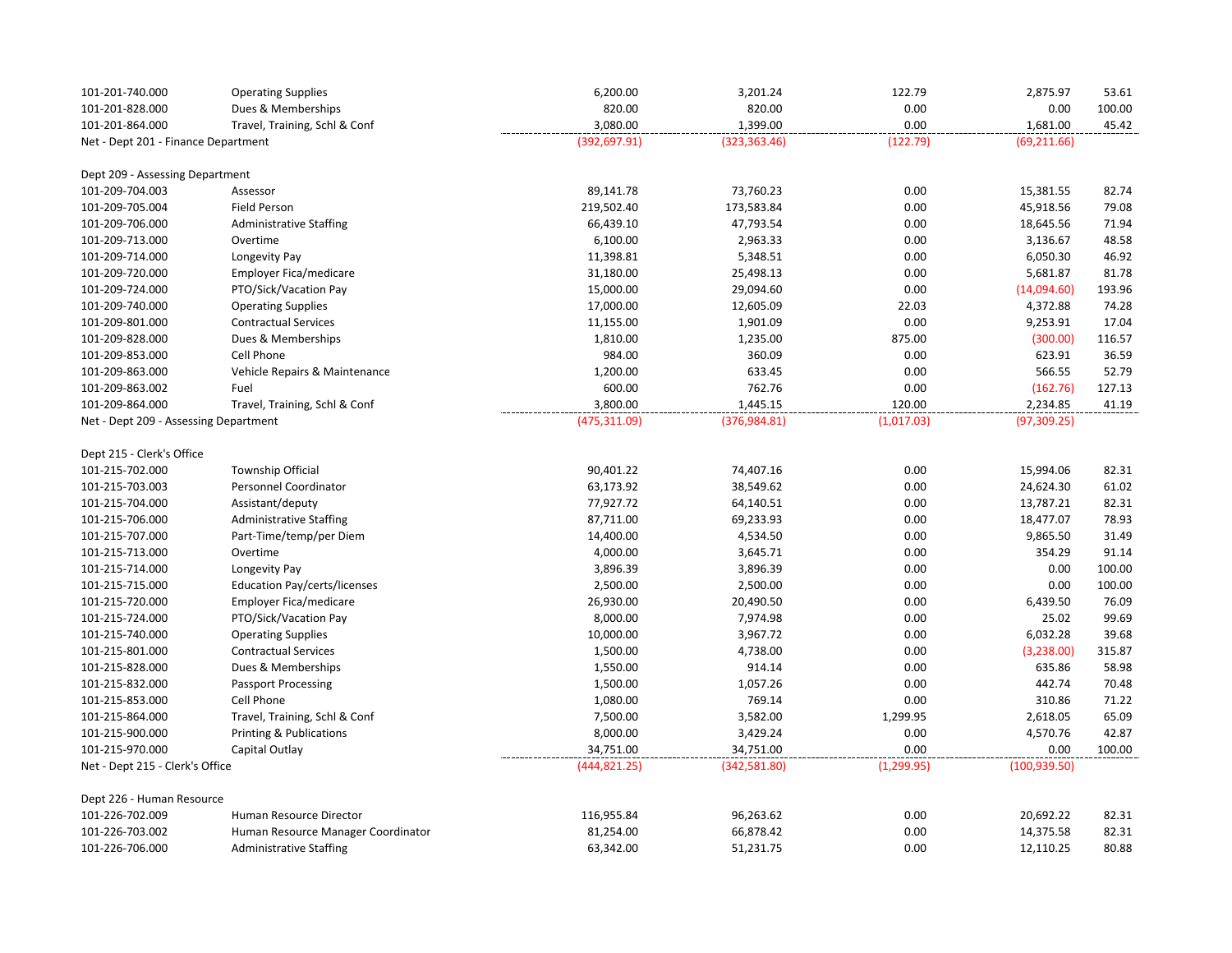| 101-201-740.000                       | <b>Operating Supplies</b>           | 6,200.00      | 3,201.24      | 122.79      | 2,875.97      | 53.61  |
|---------------------------------------|-------------------------------------|---------------|---------------|-------------|---------------|--------|
| 101-201-828.000                       | Dues & Memberships                  | 820.00        | 820.00        | 0.00        | 0.00          | 100.00 |
| 101-201-864.000                       | Travel, Training, Schl & Conf       | 3,080.00      | 1,399.00      | 0.00        | 1,681.00      | 45.42  |
| Net - Dept 201 - Finance Department   |                                     | (392, 697.91) | (323, 363.46) | (122.79)    | (69, 211.66)  |        |
| Dept 209 - Assessing Department       |                                     |               |               |             |               |        |
| 101-209-704.003                       | Assessor                            | 89,141.78     | 73,760.23     | 0.00        | 15,381.55     | 82.74  |
| 101-209-705.004                       | <b>Field Person</b>                 | 219,502.40    | 173,583.84    | 0.00        | 45,918.56     | 79.08  |
| 101-209-706.000                       | <b>Administrative Staffing</b>      | 66,439.10     | 47,793.54     | 0.00        | 18,645.56     | 71.94  |
| 101-209-713.000                       | Overtime                            | 6,100.00      | 2,963.33      | 0.00        | 3,136.67      | 48.58  |
| 101-209-714.000                       | Longevity Pay                       | 11,398.81     | 5,348.51      | 0.00        | 6,050.30      | 46.92  |
| 101-209-720.000                       | Employer Fica/medicare              | 31,180.00     | 25,498.13     | 0.00        | 5,681.87      | 81.78  |
| 101-209-724.000                       | PTO/Sick/Vacation Pay               | 15,000.00     | 29,094.60     | 0.00        | (14,094.60)   | 193.96 |
| 101-209-740.000                       | <b>Operating Supplies</b>           | 17,000.00     | 12,605.09     | 22.03       | 4,372.88      | 74.28  |
| 101-209-801.000                       | <b>Contractual Services</b>         | 11,155.00     | 1,901.09      | 0.00        | 9,253.91      | 17.04  |
| 101-209-828.000                       | Dues & Memberships                  | 1,810.00      | 1,235.00      | 875.00      | (300.00)      | 116.57 |
| 101-209-853.000                       | Cell Phone                          | 984.00        | 360.09        | 0.00        | 623.91        | 36.59  |
| 101-209-863.000                       | Vehicle Repairs & Maintenance       | 1,200.00      | 633.45        | 0.00        | 566.55        | 52.79  |
| 101-209-863.002                       | Fuel                                | 600.00        | 762.76        | 0.00        | (162.76)      | 127.13 |
| 101-209-864.000                       | Travel, Training, Schl & Conf       | 3,800.00      | 1,445.15      | 120.00      | 2,234.85      | 41.19  |
| Net - Dept 209 - Assessing Department |                                     | (475, 311.09) | (376, 984.81) | (1,017.03)  | (97, 309.25)  |        |
| Dept 215 - Clerk's Office             |                                     |               |               |             |               |        |
| 101-215-702.000                       | Township Official                   | 90,401.22     | 74,407.16     | 0.00        | 15,994.06     | 82.31  |
| 101-215-703.003                       | Personnel Coordinator               | 63,173.92     | 38,549.62     | 0.00        | 24,624.30     | 61.02  |
| 101-215-704.000                       | Assistant/deputy                    | 77,927.72     | 64,140.51     | 0.00        | 13,787.21     | 82.31  |
| 101-215-706.000                       | <b>Administrative Staffing</b>      | 87,711.00     | 69,233.93     | 0.00        | 18,477.07     | 78.93  |
| 101-215-707.000                       | Part-Time/temp/per Diem             | 14,400.00     | 4,534.50      | 0.00        | 9,865.50      | 31.49  |
| 101-215-713.000                       | Overtime                            | 4,000.00      | 3,645.71      | 0.00        | 354.29        | 91.14  |
| 101-215-714.000                       | Longevity Pay                       | 3,896.39      | 3,896.39      | 0.00        | 0.00          | 100.00 |
| 101-215-715.000                       | <b>Education Pay/certs/licenses</b> | 2,500.00      | 2,500.00      | 0.00        | 0.00          | 100.00 |
| 101-215-720.000                       | Employer Fica/medicare              | 26,930.00     | 20,490.50     | 0.00        | 6,439.50      | 76.09  |
| 101-215-724.000                       | PTO/Sick/Vacation Pay               | 8,000.00      | 7,974.98      | 0.00        | 25.02         | 99.69  |
| 101-215-740.000                       | <b>Operating Supplies</b>           | 10,000.00     | 3,967.72      | 0.00        | 6,032.28      | 39.68  |
| 101-215-801.000                       | <b>Contractual Services</b>         | 1,500.00      | 4,738.00      | 0.00        | (3,238.00)    | 315.87 |
| 101-215-828.000                       | Dues & Memberships                  | 1,550.00      | 914.14        | 0.00        | 635.86        | 58.98  |
| 101-215-832.000                       | <b>Passport Processing</b>          | 1,500.00      | 1,057.26      | 0.00        | 442.74        | 70.48  |
| 101-215-853.000                       | Cell Phone                          | 1,080.00      | 769.14        | 0.00        | 310.86        | 71.22  |
| 101-215-864.000                       | Travel, Training, Schl & Conf       | 7,500.00      | 3,582.00      | 1,299.95    | 2,618.05      | 65.09  |
| 101-215-900.000                       | Printing & Publications             | 8,000.00      | 3,429.24      | 0.00        | 4,570.76      | 42.87  |
| 101-215-970.000                       | Capital Outlay                      | 34,751.00     | 34,751.00     | 0.00        | 0.00          | 100.00 |
| Net - Dept 215 - Clerk's Office       |                                     | (444, 821.25) | (342,581.80)  | (1, 299.95) | (100, 939.50) |        |
| Dept 226 - Human Resource             |                                     |               |               |             |               |        |
| 101-226-702.009                       | Human Resource Director             | 116,955.84    | 96,263.62     | 0.00        | 20,692.22     | 82.31  |
| 101-226-703.002                       | Human Resource Manager Coordinator  | 81,254.00     | 66,878.42     | 0.00        | 14,375.58     | 82.31  |
| 101-226-706.000                       | <b>Administrative Staffing</b>      | 63,342.00     | 51,231.75     | 0.00        | 12,110.25     | 80.88  |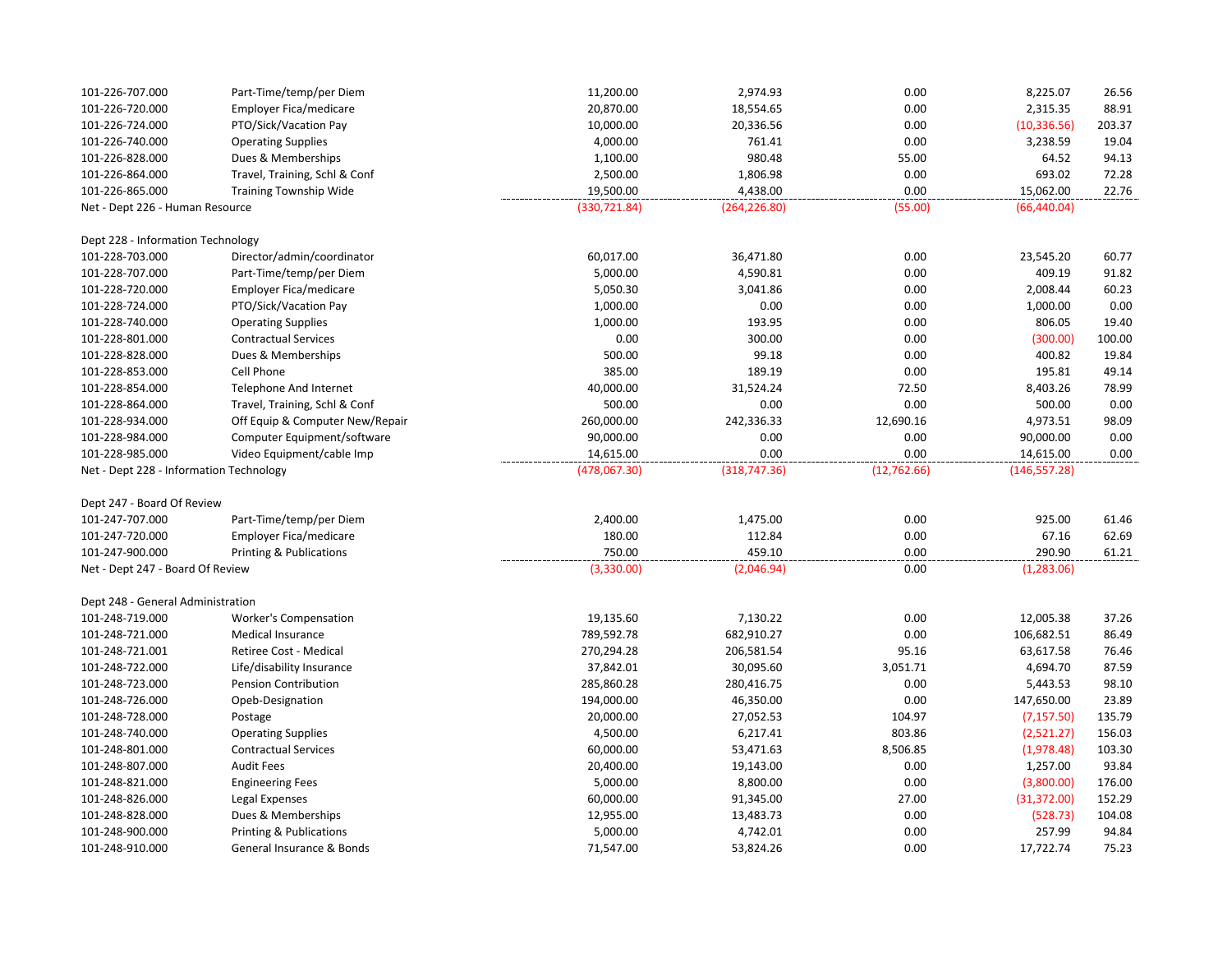| 101-226-707.000                                      | Part-Time/temp/per Diem                           | 11,200.00                | 2,974.93                | 0.00             | 8,225.07                | 26.56            |
|------------------------------------------------------|---------------------------------------------------|--------------------------|-------------------------|------------------|-------------------------|------------------|
| 101-226-720.000                                      | Employer Fica/medicare                            | 20,870.00                | 18,554.65               | 0.00             | 2,315.35                | 88.91            |
| 101-226-724.000                                      | PTO/Sick/Vacation Pay                             | 10,000.00                | 20,336.56               | 0.00             | (10, 336.56)            | 203.37           |
| 101-226-740.000                                      | <b>Operating Supplies</b>                         | 4,000.00                 | 761.41                  | 0.00             | 3,238.59                | 19.04            |
| 101-226-828.000                                      | Dues & Memberships                                | 1,100.00                 | 980.48                  | 55.00            | 64.52                   | 94.13            |
| 101-226-864.000                                      | Travel, Training, Schl & Conf                     | 2,500.00                 | 1,806.98                | 0.00             | 693.02                  | 72.28            |
| 101-226-865.000                                      | <b>Training Township Wide</b>                     | 19,500.00                | 4,438.00                | 0.00             | 15,062.00               | 22.76            |
| Net - Dept 226 - Human Resource                      |                                                   | (330, 721.84)            | (264, 226.80)           | (55.00)          | (66, 440.04)            |                  |
| Dept 228 - Information Technology                    |                                                   |                          |                         |                  |                         |                  |
| 101-228-703.000                                      | Director/admin/coordinator                        | 60,017.00                | 36,471.80               | 0.00             | 23,545.20               | 60.77            |
| 101-228-707.000                                      | Part-Time/temp/per Diem                           | 5,000.00                 | 4,590.81                | 0.00             | 409.19                  | 91.82            |
| 101-228-720.000                                      | Employer Fica/medicare                            | 5,050.30                 | 3,041.86                | 0.00             | 2,008.44                | 60.23            |
| 101-228-724.000                                      | PTO/Sick/Vacation Pay                             | 1,000.00                 | 0.00                    | 0.00             | 1,000.00                | 0.00             |
| 101-228-740.000                                      | <b>Operating Supplies</b>                         | 1,000.00                 | 193.95                  | 0.00             | 806.05                  | 19.40            |
| 101-228-801.000                                      | <b>Contractual Services</b>                       | 0.00                     | 300.00                  | 0.00             | (300.00)                | 100.00           |
| 101-228-828.000                                      | Dues & Memberships                                | 500.00                   | 99.18                   | 0.00             | 400.82                  | 19.84            |
| 101-228-853.000                                      | Cell Phone                                        | 385.00                   | 189.19                  | 0.00             | 195.81                  | 49.14            |
| 101-228-854.000                                      | Telephone And Internet                            | 40,000.00                | 31,524.24               | 72.50            | 8,403.26                | 78.99            |
| 101-228-864.000                                      | Travel, Training, Schl & Conf                     | 500.00                   | 0.00                    | 0.00             | 500.00                  | 0.00             |
| 101-228-934.000                                      | Off Equip & Computer New/Repair                   | 260,000.00               | 242,336.33              | 12,690.16        | 4,973.51                | 98.09            |
| 101-228-984.000                                      | Computer Equipment/software                       | 90,000.00                | 0.00                    | 0.00             | 90,000.00               | 0.00             |
| 101-228-985.000                                      | Video Equipment/cable Imp                         | 14,615.00                | 0.00                    | 0.00             | 14,615.00               | $0.00\,$         |
| Net - Dept 228 - Information Technology              |                                                   | (478,067.30)             | (318, 747.36)           | (12,762.66)      | (146, 557.28)           |                  |
|                                                      |                                                   |                          |                         |                  |                         |                  |
| Dept 247 - Board Of Review                           |                                                   |                          |                         |                  |                         |                  |
| 101-247-707.000                                      | Part-Time/temp/per Diem                           | 2,400.00                 | 1,475.00                | 0.00             | 925.00                  | 61.46            |
| 101-247-720.000                                      | Employer Fica/medicare                            | 180.00                   | 112.84                  | 0.00             | 67.16                   | 62.69            |
| 101-247-900.000                                      | Printing & Publications                           | 750.00                   | 459.10                  | 0.00             | 290.90                  | 61.21            |
| Net - Dept 247 - Board Of Review                     |                                                   | (3,330.00)               | (2,046.94)              | 0.00             | (1, 283.06)             |                  |
|                                                      |                                                   |                          |                         |                  |                         |                  |
| Dept 248 - General Administration<br>101-248-719.000 |                                                   |                          |                         |                  |                         |                  |
| 101-248-721.000                                      | Worker's Compensation<br><b>Medical Insurance</b> | 19,135.60                | 7,130.22<br>682,910.27  | 0.00<br>0.00     | 12,005.38<br>106,682.51 | 37.26<br>86.49   |
| 101-248-721.001                                      | Retiree Cost - Medical                            | 789,592.78<br>270,294.28 | 206,581.54              | 95.16            | 63,617.58               | 76.46            |
| 101-248-722.000                                      | Life/disability Insurance                         | 37,842.01                | 30,095.60               | 3,051.71         | 4,694.70                | 87.59            |
| 101-248-723.000                                      | <b>Pension Contribution</b>                       | 285,860.28               |                         | 0.00             | 5,443.53                | 98.10            |
| 101-248-726.000                                      |                                                   | 194,000.00               | 280,416.75<br>46,350.00 | 0.00             | 147,650.00              | 23.89            |
|                                                      | Opeb-Designation                                  |                          |                         |                  |                         |                  |
| 101-248-728.000                                      | Postage                                           | 20,000.00                | 27,052.53               | 104.97<br>803.86 | (7, 157.50)             | 135.79<br>156.03 |
| 101-248-740.000                                      | <b>Operating Supplies</b>                         | 4,500.00                 | 6,217.41                |                  | (2,521.27)              |                  |
| 101-248-801.000                                      | <b>Contractual Services</b>                       | 60,000.00                | 53,471.63               | 8,506.85         | (1,978.48)              | 103.30           |
| 101-248-807.000                                      | <b>Audit Fees</b>                                 | 20,400.00                | 19,143.00               | 0.00             | 1,257.00                | 93.84            |
| 101-248-821.000                                      | <b>Engineering Fees</b>                           | 5,000.00                 | 8,800.00                | 0.00             | (3,800.00)              | 176.00           |
| 101-248-826.000                                      | Legal Expenses                                    | 60,000.00                | 91,345.00               | 27.00            | (31, 372.00)            | 152.29           |
| 101-248-828.000                                      | Dues & Memberships                                | 12,955.00                | 13,483.73               | 0.00             | (528.73)                | 104.08           |
| 101-248-900.000                                      | Printing & Publications                           | 5,000.00                 | 4,742.01                | 0.00             | 257.99                  | 94.84            |
| 101-248-910.000                                      | General Insurance & Bonds                         | 71,547.00                | 53,824.26               | 0.00             | 17,722.74               | 75.23            |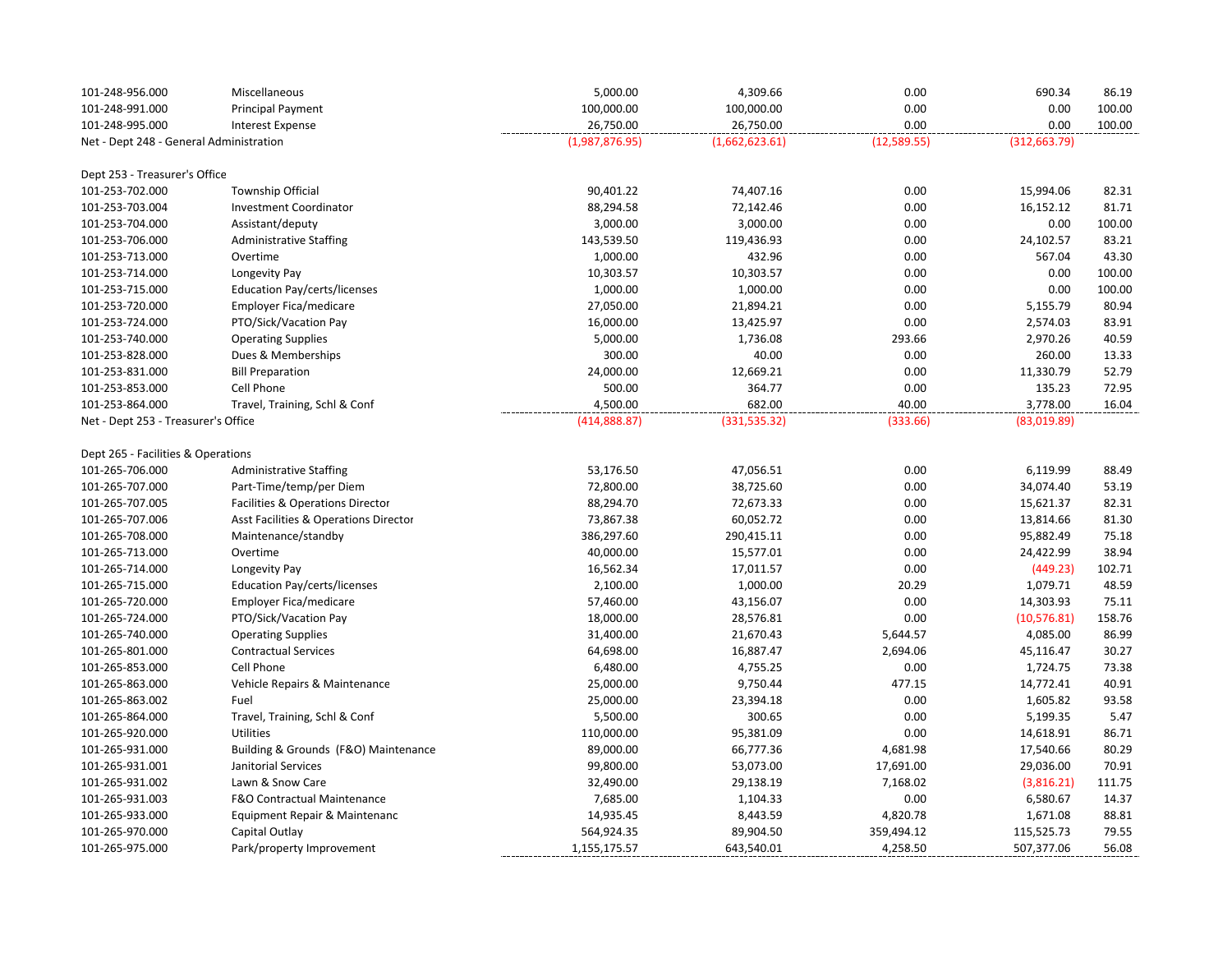| 101-248-956.000                         | Miscellaneous                         | 5,000.00       | 4,309.66       | 0.00        | 690.34        | 86.19  |
|-----------------------------------------|---------------------------------------|----------------|----------------|-------------|---------------|--------|
| 101-248-991.000                         | <b>Principal Payment</b>              | 100,000.00     | 100,000.00     | 0.00        | 0.00          | 100.00 |
| 101-248-995.000                         | <b>Interest Expense</b>               | 26,750.00      | 26,750.00      | 0.00        | 0.00          | 100.00 |
| Net - Dept 248 - General Administration |                                       | (1,987,876.95) | (1,662,623.61) | (12,589.55) | (312, 663.79) |        |
| Dept 253 - Treasurer's Office           |                                       |                |                |             |               |        |
| 101-253-702.000                         | <b>Township Official</b>              | 90,401.22      | 74,407.16      | 0.00        | 15,994.06     | 82.31  |
| 101-253-703.004                         | <b>Investment Coordinator</b>         | 88,294.58      | 72,142.46      | 0.00        | 16,152.12     | 81.71  |
| 101-253-704.000                         | Assistant/deputy                      | 3,000.00       | 3,000.00       | 0.00        | 0.00          | 100.00 |
| 101-253-706.000                         | <b>Administrative Staffing</b>        | 143,539.50     | 119,436.93     | 0.00        | 24,102.57     | 83.21  |
| 101-253-713.000                         | Overtime                              | 1,000.00       | 432.96         | 0.00        | 567.04        | 43.30  |
| 101-253-714.000                         | Longevity Pay                         | 10,303.57      | 10,303.57      | 0.00        | 0.00          | 100.00 |
| 101-253-715.000                         | Education Pay/certs/licenses          | 1,000.00       | 1,000.00       | 0.00        | 0.00          | 100.00 |
| 101-253-720.000                         | Employer Fica/medicare                | 27,050.00      | 21,894.21      | 0.00        | 5,155.79      | 80.94  |
| 101-253-724.000                         | PTO/Sick/Vacation Pay                 | 16,000.00      | 13,425.97      | 0.00        | 2,574.03      | 83.91  |
| 101-253-740.000                         | <b>Operating Supplies</b>             | 5,000.00       | 1,736.08       | 293.66      | 2,970.26      | 40.59  |
| 101-253-828.000                         | Dues & Memberships                    | 300.00         | 40.00          | 0.00        | 260.00        | 13.33  |
| 101-253-831.000                         | <b>Bill Preparation</b>               | 24,000.00      | 12,669.21      | 0.00        | 11,330.79     | 52.79  |
| 101-253-853.000                         | Cell Phone                            | 500.00         | 364.77         | 0.00        | 135.23        | 72.95  |
| 101-253-864.000                         | Travel, Training, Schl & Conf         | 4,500.00       | 682.00         | 40.00       | 3,778.00      | 16.04  |
| Net - Dept 253 - Treasurer's Office     |                                       | (414,888.87)   | (331, 535.32)  | (333.66)    | (83,019.89)   |        |
| Dept 265 - Facilities & Operations      |                                       |                |                |             |               |        |
| 101-265-706.000                         | <b>Administrative Staffing</b>        | 53,176.50      | 47,056.51      | 0.00        | 6,119.99      | 88.49  |
| 101-265-707.000                         | Part-Time/temp/per Diem               | 72,800.00      | 38,725.60      | 0.00        | 34,074.40     | 53.19  |
| 101-265-707.005                         | Facilities & Operations Director      | 88,294.70      | 72,673.33      | 0.00        | 15,621.37     | 82.31  |
| 101-265-707.006                         | Asst Facilities & Operations Director | 73,867.38      | 60,052.72      | 0.00        | 13,814.66     | 81.30  |
| 101-265-708.000                         | Maintenance/standby                   | 386,297.60     | 290,415.11     | 0.00        | 95,882.49     | 75.18  |
| 101-265-713.000                         | Overtime                              | 40,000.00      | 15,577.01      | 0.00        | 24,422.99     | 38.94  |
| 101-265-714.000                         | Longevity Pay                         | 16,562.34      | 17,011.57      | 0.00        | (449.23)      | 102.71 |
| 101-265-715.000                         | <b>Education Pay/certs/licenses</b>   | 2,100.00       | 1,000.00       | 20.29       | 1,079.71      | 48.59  |
| 101-265-720.000                         | Employer Fica/medicare                | 57,460.00      | 43,156.07      | 0.00        | 14,303.93     | 75.11  |
| 101-265-724.000                         | PTO/Sick/Vacation Pay                 | 18,000.00      | 28,576.81      | 0.00        | (10, 576.81)  | 158.76 |
| 101-265-740.000                         | <b>Operating Supplies</b>             | 31,400.00      | 21,670.43      | 5,644.57    | 4,085.00      | 86.99  |
| 101-265-801.000                         | <b>Contractual Services</b>           | 64,698.00      | 16,887.47      | 2,694.06    | 45,116.47     | 30.27  |
| 101-265-853.000                         | Cell Phone                            | 6,480.00       | 4,755.25       | 0.00        | 1,724.75      | 73.38  |
| 101-265-863.000                         | Vehicle Repairs & Maintenance         | 25,000.00      | 9,750.44       | 477.15      | 14,772.41     | 40.91  |
| 101-265-863.002                         | Fuel                                  | 25,000.00      | 23,394.18      | 0.00        | 1,605.82      | 93.58  |
| 101-265-864.000                         | Travel, Training, Schl & Conf         | 5,500.00       | 300.65         | 0.00        | 5,199.35      | 5.47   |
| 101-265-920.000                         | <b>Utilities</b>                      | 110,000.00     | 95,381.09      | 0.00        | 14,618.91     | 86.71  |
| 101-265-931.000                         | Building & Grounds (F&O) Maintenance  | 89,000.00      | 66,777.36      | 4,681.98    | 17,540.66     | 80.29  |
| 101-265-931.001                         | Janitorial Services                   | 99,800.00      | 53,073.00      | 17,691.00   | 29,036.00     | 70.91  |
| 101-265-931.002                         | Lawn & Snow Care                      | 32,490.00      | 29,138.19      | 7,168.02    | (3,816.21)    | 111.75 |
| 101-265-931.003                         | F&O Contractual Maintenance           | 7,685.00       | 1,104.33       | 0.00        | 6,580.67      | 14.37  |
| 101-265-933.000                         | Equipment Repair & Maintenanc         | 14,935.45      | 8,443.59       | 4,820.78    | 1,671.08      | 88.81  |
| 101-265-970.000                         | Capital Outlay                        | 564,924.35     | 89,904.50      | 359,494.12  | 115,525.73    | 79.55  |
| 101-265-975.000                         | Park/property Improvement             | 1,155,175.57   | 643,540.01     | 4,258.50    | 507,377.06    | 56.08  |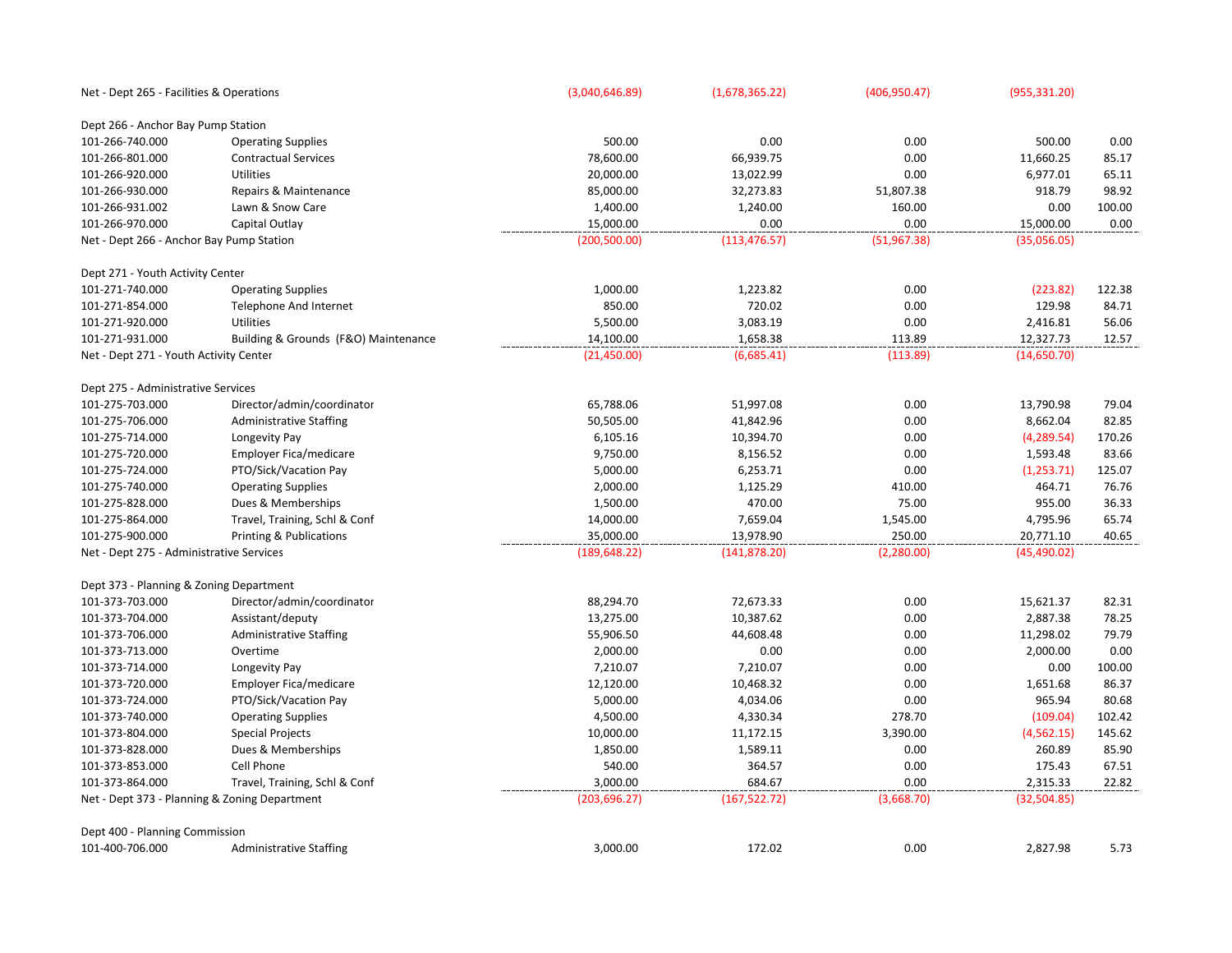| Net - Dept 265 - Facilities & Operations |                                               | (3,040,646.89) | (1,678,365.22) | (406, 950.47) | (955, 331.20) |        |
|------------------------------------------|-----------------------------------------------|----------------|----------------|---------------|---------------|--------|
| Dept 266 - Anchor Bay Pump Station       |                                               |                |                |               |               |        |
| 101-266-740.000                          | <b>Operating Supplies</b>                     | 500.00         | 0.00           | 0.00          | 500.00        | 0.00   |
| 101-266-801.000                          | <b>Contractual Services</b>                   | 78,600.00      | 66,939.75      | 0.00          | 11,660.25     | 85.17  |
| 101-266-920.000                          | <b>Utilities</b>                              | 20,000.00      | 13,022.99      | 0.00          | 6,977.01      | 65.11  |
| 101-266-930.000                          | Repairs & Maintenance                         | 85,000.00      | 32,273.83      | 51,807.38     | 918.79        | 98.92  |
| 101-266-931.002                          | Lawn & Snow Care                              | 1,400.00       | 1,240.00       | 160.00        | 0.00          | 100.00 |
| 101-266-970.000                          | Capital Outlay                                | 15,000.00      | 0.00           | 0.00          | 15,000.00     | 0.00   |
| Net - Dept 266 - Anchor Bay Pump Station |                                               | (200, 500.00)  | (113, 476.57)  | (51, 967.38)  | (35,056.05)   |        |
| Dept 271 - Youth Activity Center         |                                               |                |                |               |               |        |
| 101-271-740.000                          | <b>Operating Supplies</b>                     | 1,000.00       | 1,223.82       | 0.00          | (223.82)      | 122.38 |
| 101-271-854.000                          | Telephone And Internet                        | 850.00         | 720.02         | 0.00          | 129.98        | 84.71  |
| 101-271-920.000                          | <b>Utilities</b>                              | 5,500.00       | 3,083.19       | 0.00          | 2,416.81      | 56.06  |
| 101-271-931.000                          | Building & Grounds (F&O) Maintenance          | 14,100.00      | 1,658.38       | 113.89        | 12,327.73     | 12.57  |
| Net - Dept 271 - Youth Activity Center   |                                               | (21,450.00)    | (6,685.41)     | (113.89)      | (14,650.70)   |        |
| Dept 275 - Administrative Services       |                                               |                |                |               |               |        |
| 101-275-703.000                          | Director/admin/coordinator                    | 65,788.06      | 51,997.08      | 0.00          | 13,790.98     | 79.04  |
| 101-275-706.000                          | <b>Administrative Staffing</b>                | 50,505.00      | 41,842.96      | 0.00          | 8,662.04      | 82.85  |
| 101-275-714.000                          | Longevity Pay                                 | 6,105.16       | 10,394.70      | 0.00          | (4, 289.54)   | 170.26 |
| 101-275-720.000                          | Employer Fica/medicare                        | 9,750.00       | 8,156.52       | 0.00          | 1,593.48      | 83.66  |
| 101-275-724.000                          | PTO/Sick/Vacation Pay                         | 5,000.00       | 6,253.71       | 0.00          | (1, 253.71)   | 125.07 |
| 101-275-740.000                          | <b>Operating Supplies</b>                     | 2,000.00       | 1,125.29       | 410.00        | 464.71        | 76.76  |
| 101-275-828.000                          | Dues & Memberships                            | 1,500.00       | 470.00         | 75.00         | 955.00        | 36.33  |
| 101-275-864.000                          | Travel, Training, Schl & Conf                 | 14,000.00      | 7,659.04       | 1,545.00      | 4,795.96      | 65.74  |
| 101-275-900.000                          | Printing & Publications                       | 35,000.00      | 13,978.90      | 250.00        | 20,771.10     | 40.65  |
| Net - Dept 275 - Administrative Services |                                               | (189, 648.22)  | (141, 878.20)  | (2,280.00)    | (45, 490.02)  |        |
| Dept 373 - Planning & Zoning Department  |                                               |                |                |               |               |        |
| 101-373-703.000                          | Director/admin/coordinator                    | 88,294.70      | 72,673.33      | 0.00          | 15,621.37     | 82.31  |
| 101-373-704.000                          | Assistant/deputy                              | 13,275.00      | 10,387.62      | 0.00          | 2,887.38      | 78.25  |
| 101-373-706.000                          | <b>Administrative Staffing</b>                | 55,906.50      | 44,608.48      | 0.00          | 11,298.02     | 79.79  |
| 101-373-713.000                          | Overtime                                      | 2,000.00       | 0.00           | 0.00          | 2,000.00      | 0.00   |
| 101-373-714.000                          | Longevity Pay                                 | 7,210.07       | 7,210.07       | 0.00          | 0.00          | 100.00 |
| 101-373-720.000                          | Employer Fica/medicare                        | 12,120.00      | 10,468.32      | 0.00          | 1,651.68      | 86.37  |
| 101-373-724.000                          | PTO/Sick/Vacation Pay                         | 5,000.00       | 4,034.06       | 0.00          | 965.94        | 80.68  |
| 101-373-740.000                          | <b>Operating Supplies</b>                     | 4,500.00       | 4,330.34       | 278.70        | (109.04)      | 102.42 |
| 101-373-804.000                          | <b>Special Projects</b>                       | 10,000.00      | 11,172.15      | 3,390.00      | (4, 562.15)   | 145.62 |
| 101-373-828.000                          | Dues & Memberships                            | 1,850.00       | 1,589.11       | 0.00          | 260.89        | 85.90  |
| 101-373-853.000                          | Cell Phone                                    | 540.00         | 364.57         | 0.00          | 175.43        | 67.51  |
| 101-373-864.000                          | Travel, Training, Schl & Conf                 | 3,000.00       | 684.67         | 0.00          | 2,315.33      | 22.82  |
|                                          | Net - Dept 373 - Planning & Zoning Department | (203, 696.27)  | (167, 522.72)  | (3,668.70)    | (32,504.85)   |        |
| Dept 400 - Planning Commission           |                                               |                |                |               |               |        |
| 101-400-706.000                          | <b>Administrative Staffing</b>                | 3,000.00       | 172.02         | 0.00          | 2,827.98      | 5.73   |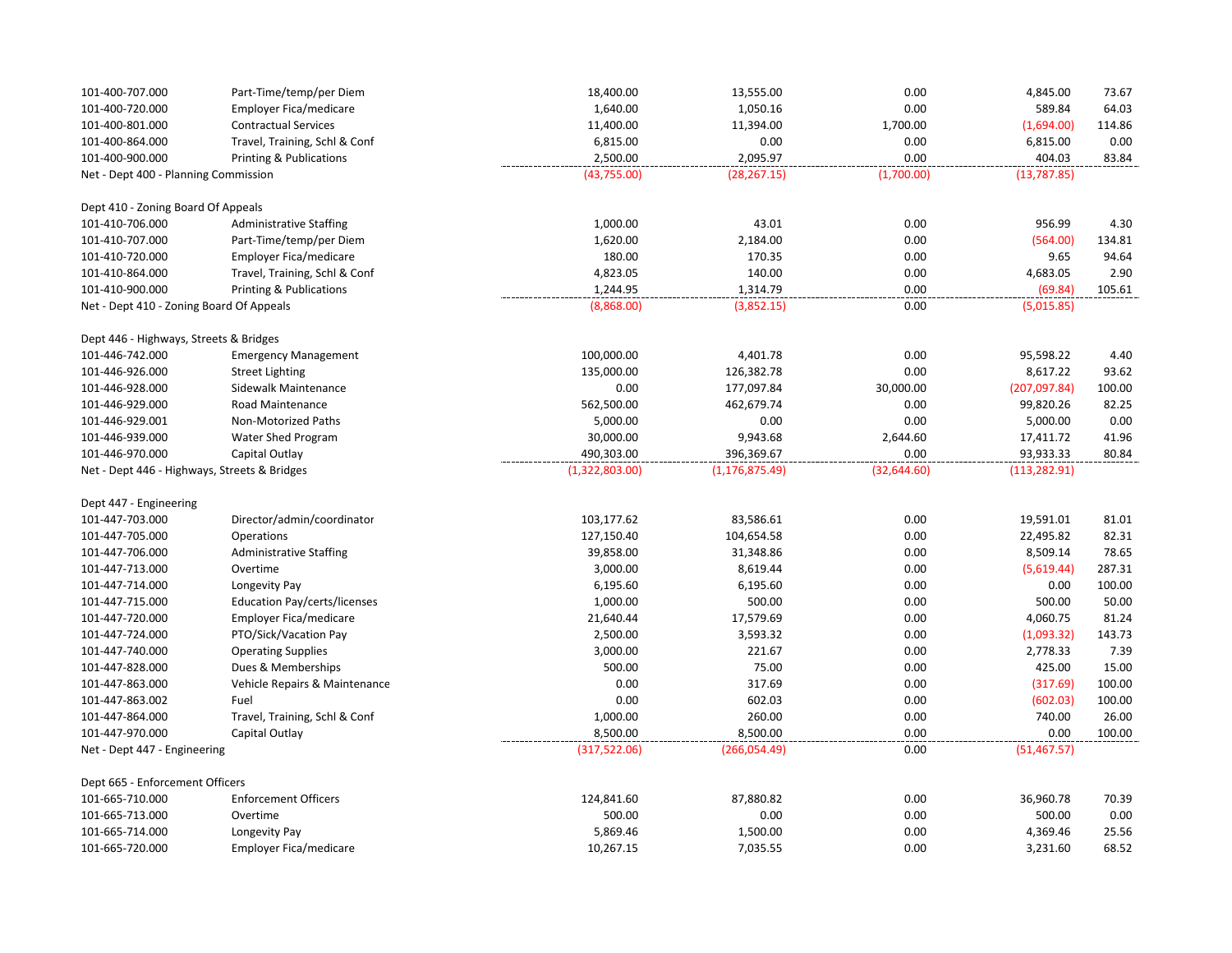| 101-400-707.000                              | Part-Time/temp/per Diem             | 18,400.00      | 13,555.00        | 0.00        | 4,845.00      | 73.67  |
|----------------------------------------------|-------------------------------------|----------------|------------------|-------------|---------------|--------|
| 101-400-720.000                              | Employer Fica/medicare              | 1,640.00       | 1,050.16         | 0.00        | 589.84        | 64.03  |
| 101-400-801.000                              | <b>Contractual Services</b>         | 11,400.00      | 11,394.00        | 1,700.00    | (1,694.00)    | 114.86 |
| 101-400-864.000                              | Travel, Training, Schl & Conf       | 6,815.00       | 0.00             | 0.00        | 6,815.00      | 0.00   |
| 101-400-900.000                              | Printing & Publications             | 2,500.00       | 2,095.97         | 0.00        | 404.03        | 83.84  |
| Net - Dept 400 - Planning Commission         |                                     | (43,755.00)    | (28, 267.15)     | (1,700.00)  | (13,787.85)   |        |
| Dept 410 - Zoning Board Of Appeals           |                                     |                |                  |             |               |        |
| 101-410-706.000                              | <b>Administrative Staffing</b>      | 1,000.00       | 43.01            | 0.00        | 956.99        | 4.30   |
| 101-410-707.000                              | Part-Time/temp/per Diem             | 1,620.00       | 2,184.00         | 0.00        | (564.00)      | 134.81 |
| 101-410-720.000                              | Employer Fica/medicare              | 180.00         | 170.35           | 0.00        | 9.65          | 94.64  |
| 101-410-864.000                              | Travel, Training, Schl & Conf       | 4,823.05       | 140.00           | 0.00        | 4,683.05      | 2.90   |
| 101-410-900.000                              | Printing & Publications             | 1,244.95       | 1,314.79         | 0.00        | (69.84)       | 105.61 |
| Net - Dept 410 - Zoning Board Of Appeals     |                                     | (8,868.00)     | (3,852.15)       | 0.00        | (5,015.85)    |        |
| Dept 446 - Highways, Streets & Bridges       |                                     |                |                  |             |               |        |
| 101-446-742.000                              | <b>Emergency Management</b>         | 100,000.00     | 4,401.78         | 0.00        | 95,598.22     | 4.40   |
| 101-446-926.000                              | <b>Street Lighting</b>              | 135,000.00     | 126,382.78       | 0.00        | 8,617.22      | 93.62  |
| 101-446-928.000                              | Sidewalk Maintenance                | 0.00           | 177,097.84       | 30,000.00   | (207, 097.84) | 100.00 |
| 101-446-929.000                              | Road Maintenance                    | 562,500.00     | 462,679.74       | 0.00        | 99,820.26     | 82.25  |
| 101-446-929.001                              | Non-Motorized Paths                 | 5,000.00       | 0.00             | 0.00        | 5,000.00      | 0.00   |
| 101-446-939.000                              | <b>Water Shed Program</b>           | 30,000.00      | 9,943.68         | 2,644.60    | 17,411.72     | 41.96  |
| 101-446-970.000                              | Capital Outlay                      | 490,303.00     | 396,369.67       | 0.00        | 93,933.33     | 80.84  |
| Net - Dept 446 - Highways, Streets & Bridges |                                     | (1,322,803.00) | (1, 176, 875.49) | (32,644.60) | (113, 282.91) |        |
| Dept 447 - Engineering                       |                                     |                |                  |             |               |        |
| 101-447-703.000                              | Director/admin/coordinator          | 103,177.62     | 83,586.61        | 0.00        | 19,591.01     | 81.01  |
| 101-447-705.000                              | Operations                          | 127,150.40     | 104,654.58       | 0.00        | 22,495.82     | 82.31  |
| 101-447-706.000                              | <b>Administrative Staffing</b>      | 39,858.00      | 31,348.86        | 0.00        | 8,509.14      | 78.65  |
| 101-447-713.000                              | Overtime                            | 3,000.00       | 8,619.44         | 0.00        | (5,619.44)    | 287.31 |
| 101-447-714.000                              | Longevity Pay                       | 6,195.60       | 6,195.60         | 0.00        | 0.00          | 100.00 |
| 101-447-715.000                              | <b>Education Pay/certs/licenses</b> | 1,000.00       | 500.00           | 0.00        | 500.00        | 50.00  |
| 101-447-720.000                              | Employer Fica/medicare              | 21,640.44      | 17,579.69        | 0.00        | 4,060.75      | 81.24  |
| 101-447-724.000                              | PTO/Sick/Vacation Pay               | 2,500.00       | 3,593.32         | 0.00        | (1,093.32)    | 143.73 |
| 101-447-740.000                              | <b>Operating Supplies</b>           | 3,000.00       | 221.67           | 0.00        | 2,778.33      | 7.39   |
| 101-447-828.000                              | Dues & Memberships                  | 500.00         | 75.00            | 0.00        | 425.00        | 15.00  |
| 101-447-863.000                              | Vehicle Repairs & Maintenance       | 0.00           | 317.69           | 0.00        | (317.69)      | 100.00 |
| 101-447-863.002                              | Fuel                                | 0.00           | 602.03           | 0.00        | (602.03)      | 100.00 |
| 101-447-864.000                              | Travel, Training, Schl & Conf       | 1,000.00       | 260.00           | 0.00        | 740.00        | 26.00  |
| 101-447-970.000                              | Capital Outlay                      | 8,500.00       | 8,500.00         | 0.00        | 0.00          | 100.00 |
| Net - Dept 447 - Engineering                 |                                     | (317,522.06)   | (266, 054.49)    | 0.00        | (51, 467.57)  |        |
| Dept 665 - Enforcement Officers              |                                     |                |                  |             |               |        |
| 101-665-710.000                              | <b>Enforcement Officers</b>         | 124,841.60     | 87,880.82        | 0.00        | 36,960.78     | 70.39  |
| 101-665-713.000                              | Overtime                            | 500.00         | 0.00             | 0.00        | 500.00        | 0.00   |
| 101-665-714.000                              | Longevity Pay                       | 5,869.46       | 1,500.00         | 0.00        | 4,369.46      | 25.56  |
| 101-665-720.000                              | Employer Fica/medicare              | 10,267.15      | 7,035.55         | 0.00        | 3,231.60      | 68.52  |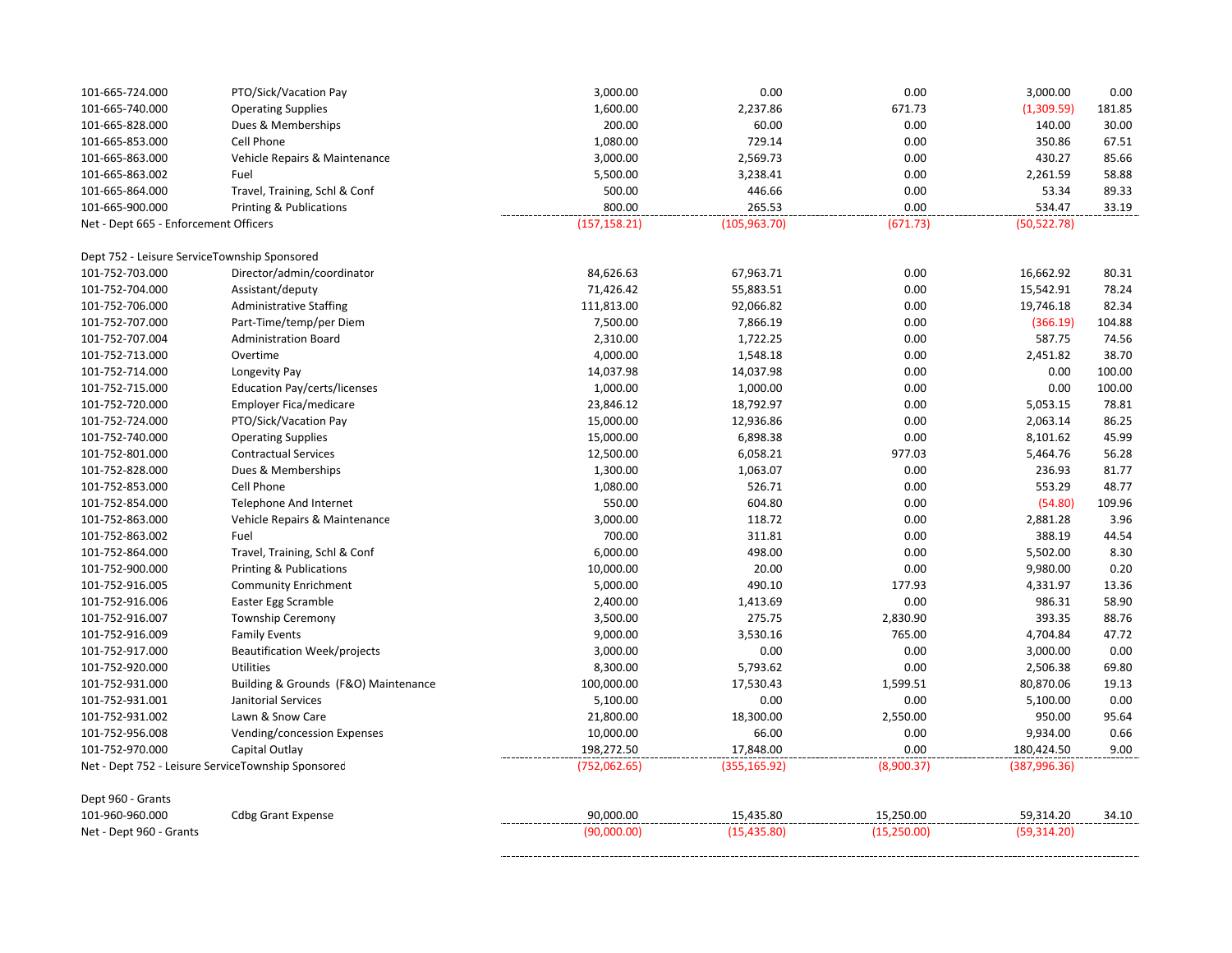| 101-665-724.000                                    | PTO/Sick/Vacation Pay                | 3,000.00      | 0.00          | 0.00         | 3,000.00      | 0.00   |
|----------------------------------------------------|--------------------------------------|---------------|---------------|--------------|---------------|--------|
| 101-665-740.000                                    | <b>Operating Supplies</b>            | 1,600.00      | 2,237.86      | 671.73       | (1,309.59)    | 181.85 |
| 101-665-828.000                                    | Dues & Memberships                   | 200.00        | 60.00         | 0.00         | 140.00        | 30.00  |
| 101-665-853.000                                    | Cell Phone                           | 1,080.00      | 729.14        | 0.00         | 350.86        | 67.51  |
| 101-665-863.000                                    | Vehicle Repairs & Maintenance        | 3,000.00      | 2,569.73      | 0.00         | 430.27        | 85.66  |
| 101-665-863.002                                    | Fuel                                 | 5,500.00      | 3,238.41      | 0.00         | 2,261.59      | 58.88  |
| 101-665-864.000                                    | Travel, Training, Schl & Conf        | 500.00        | 446.66        | 0.00         | 53.34         | 89.33  |
| 101-665-900.000                                    | Printing & Publications              | 800.00        | 265.53        | 0.00         | 534.47        | 33.19  |
| Net - Dept 665 - Enforcement Officers              |                                      | (157, 158.21) | (105, 963.70) | (671.73)     | (50, 522.78)  |        |
| Dept 752 - Leisure ServiceTownship Sponsored       |                                      |               |               |              |               |        |
| 101-752-703.000                                    | Director/admin/coordinator           | 84,626.63     | 67,963.71     | 0.00         | 16,662.92     | 80.31  |
| 101-752-704.000                                    | Assistant/deputy                     | 71,426.42     | 55,883.51     | 0.00         | 15,542.91     | 78.24  |
| 101-752-706.000                                    | <b>Administrative Staffing</b>       | 111,813.00    | 92,066.82     | 0.00         | 19,746.18     | 82.34  |
| 101-752-707.000                                    | Part-Time/temp/per Diem              | 7,500.00      | 7,866.19      | 0.00         | (366.19)      | 104.88 |
| 101-752-707.004                                    | <b>Administration Board</b>          | 2,310.00      | 1,722.25      | 0.00         | 587.75        | 74.56  |
| 101-752-713.000                                    | Overtime                             | 4,000.00      | 1,548.18      | 0.00         | 2,451.82      | 38.70  |
| 101-752-714.000                                    | Longevity Pay                        | 14,037.98     | 14,037.98     | 0.00         | 0.00          | 100.00 |
| 101-752-715.000                                    | <b>Education Pay/certs/licenses</b>  | 1,000.00      | 1,000.00      | 0.00         | 0.00          | 100.00 |
| 101-752-720.000                                    | Employer Fica/medicare               | 23,846.12     | 18,792.97     | 0.00         | 5,053.15      | 78.81  |
| 101-752-724.000                                    | PTO/Sick/Vacation Pay                | 15,000.00     | 12,936.86     | 0.00         | 2,063.14      | 86.25  |
| 101-752-740.000                                    | <b>Operating Supplies</b>            | 15,000.00     | 6,898.38      | 0.00         | 8,101.62      | 45.99  |
| 101-752-801.000                                    | <b>Contractual Services</b>          | 12,500.00     | 6,058.21      | 977.03       | 5,464.76      | 56.28  |
| 101-752-828.000                                    | Dues & Memberships                   | 1,300.00      | 1,063.07      | 0.00         | 236.93        | 81.77  |
| 101-752-853.000                                    | Cell Phone                           | 1,080.00      | 526.71        | 0.00         | 553.29        | 48.77  |
| 101-752-854.000                                    | <b>Telephone And Internet</b>        | 550.00        | 604.80        | 0.00         | (54.80)       | 109.96 |
| 101-752-863.000                                    | Vehicle Repairs & Maintenance        | 3,000.00      | 118.72        | 0.00         | 2,881.28      | 3.96   |
| 101-752-863.002                                    | Fuel                                 | 700.00        | 311.81        | 0.00         | 388.19        | 44.54  |
| 101-752-864.000                                    | Travel, Training, Schl & Conf        | 6,000.00      | 498.00        | 0.00         | 5,502.00      | 8.30   |
| 101-752-900.000                                    | Printing & Publications              | 10,000.00     | 20.00         | 0.00         | 9,980.00      | 0.20   |
| 101-752-916.005                                    | <b>Community Enrichment</b>          | 5,000.00      | 490.10        | 177.93       | 4,331.97      | 13.36  |
| 101-752-916.006                                    | Easter Egg Scramble                  | 2,400.00      | 1,413.69      | 0.00         | 986.31        | 58.90  |
| 101-752-916.007                                    | <b>Township Ceremony</b>             | 3,500.00      | 275.75        | 2,830.90     | 393.35        | 88.76  |
| 101-752-916.009                                    | <b>Family Events</b>                 | 9,000.00      | 3,530.16      | 765.00       | 4,704.84      | 47.72  |
| 101-752-917.000                                    | Beautification Week/projects         | 3,000.00      | 0.00          | 0.00         | 3,000.00      | 0.00   |
| 101-752-920.000                                    | <b>Utilities</b>                     | 8,300.00      | 5,793.62      | 0.00         | 2,506.38      | 69.80  |
| 101-752-931.000                                    | Building & Grounds (F&O) Maintenance | 100,000.00    | 17,530.43     | 1,599.51     | 80,870.06     | 19.13  |
| 101-752-931.001                                    | Janitorial Services                  | 5,100.00      | 0.00          | 0.00         | 5,100.00      | 0.00   |
| 101-752-931.002                                    | Lawn & Snow Care                     | 21,800.00     | 18,300.00     | 2,550.00     | 950.00        | 95.64  |
| 101-752-956.008                                    | Vending/concession Expenses          | 10,000.00     | 66.00         | 0.00         | 9,934.00      | 0.66   |
| 101-752-970.000                                    | Capital Outlay                       | 198,272.50    | 17,848.00     | 0.00         | 180,424.50    | 9.00   |
| Net - Dept 752 - Leisure ServiceTownship Sponsored |                                      | (752,062.65)  | (355, 165.92) | (8,900.37)   | (387, 996.36) |        |
| Dept 960 - Grants                                  |                                      |               |               |              |               |        |
| 101-960-960.000                                    | <b>Cdbg Grant Expense</b>            | 90,000.00     | 15,435.80     | 15,250.00    | 59,314.20     | 34.10  |
| Net - Dept 960 - Grants                            |                                      | (90,000.00)   | (15, 435.80)  | (15, 250.00) | (59, 314.20)  |        |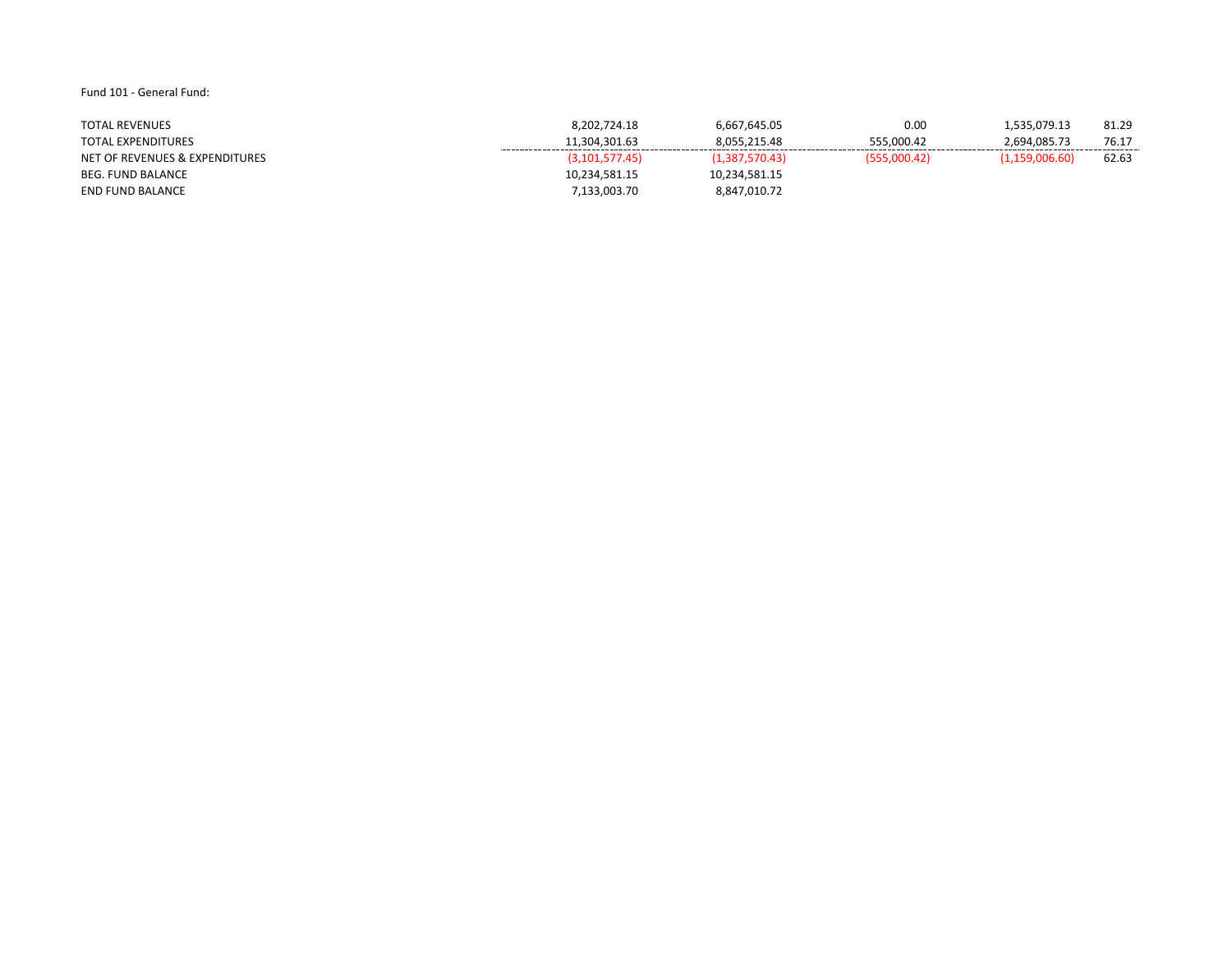Fund 101 ‐ General Fund:

| <b>TOTAL REVENUES</b>          | 8.202.724.18   | 6.667.645.05   | 0.00         | 1.535.079.13     | 81.29 |
|--------------------------------|----------------|----------------|--------------|------------------|-------|
| <b>TOTAL EXPENDITURES</b>      | 11.304.301.63  | 8.055.215.48   | 555.000.42   | 2.694.085.73     | 76.17 |
| NET OF REVENUES & EXPENDITURES | (3.101.577.45) | (1,387,570.43) | (555,000.42) | (1, 159, 006.60) | 62.63 |
| <b>BEG. FUND BALANCE</b>       | 10,234,581.15  | 10,234,581.15  |              |                  |       |
| <b>END FUND BALANCE</b>        | 7,133,003.70   | 8,847,010.72   |              |                  |       |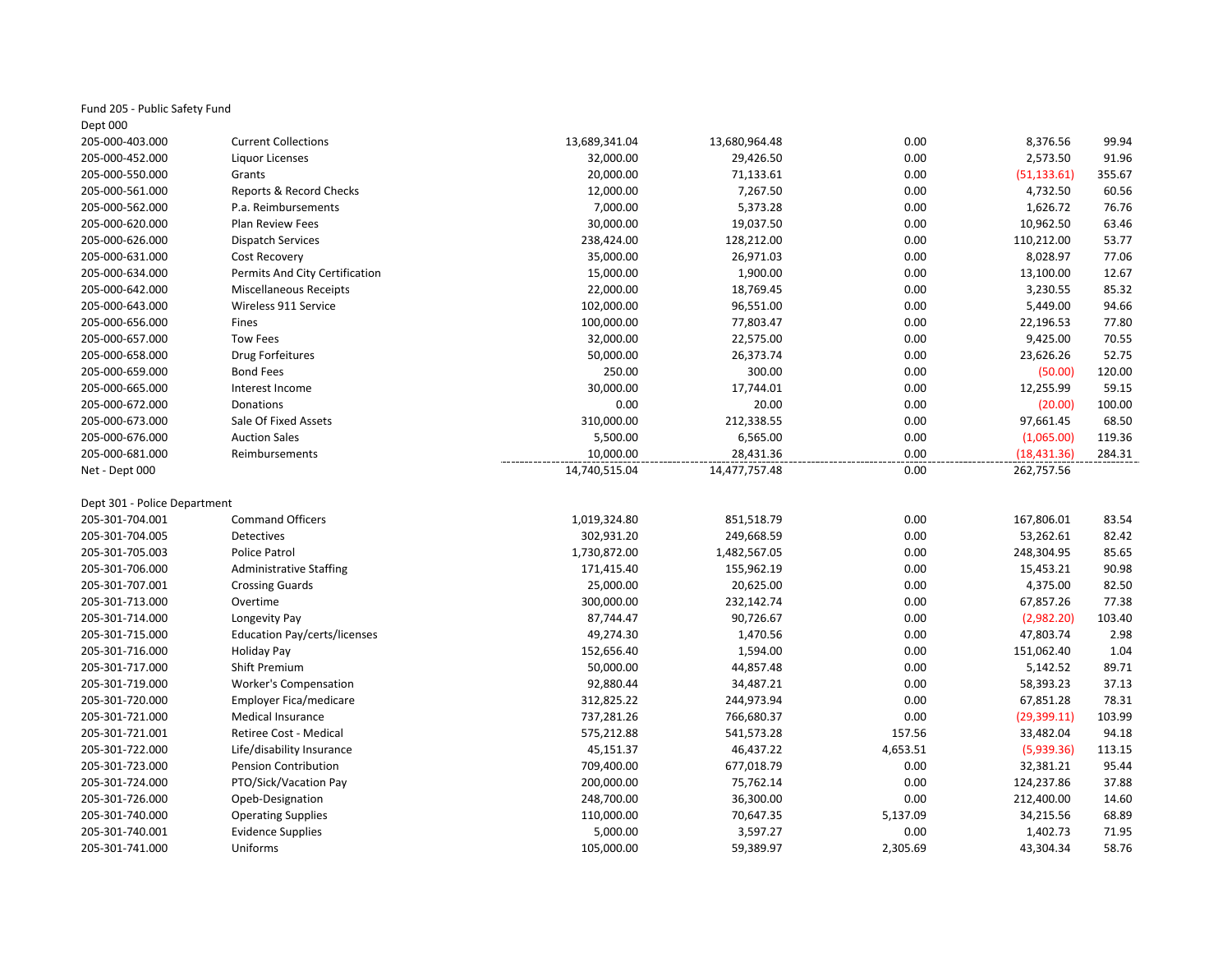| Fund 205 - Public Safety Fund |                                    |               |               |          |              |        |
|-------------------------------|------------------------------------|---------------|---------------|----------|--------------|--------|
| Dept 000                      |                                    |               |               |          |              |        |
| 205-000-403.000               | <b>Current Collections</b>         | 13,689,341.04 | 13,680,964.48 | 0.00     | 8,376.56     | 99.94  |
| 205-000-452.000               | Liquor Licenses                    | 32,000.00     | 29,426.50     | 0.00     | 2,573.50     | 91.96  |
| 205-000-550.000               | Grants                             | 20,000.00     | 71,133.61     | 0.00     | (51, 133.61) | 355.67 |
| 205-000-561.000               | <b>Reports &amp; Record Checks</b> | 12,000.00     | 7,267.50      | 0.00     | 4,732.50     | 60.56  |
| 205-000-562.000               | P.a. Reimbursements                | 7,000.00      | 5,373.28      | 0.00     | 1,626.72     | 76.76  |
| 205-000-620.000               | <b>Plan Review Fees</b>            | 30,000.00     | 19,037.50     | 0.00     | 10,962.50    | 63.46  |
| 205-000-626.000               | <b>Dispatch Services</b>           | 238,424.00    | 128,212.00    | 0.00     | 110,212.00   | 53.77  |
| 205-000-631.000               | Cost Recovery                      | 35,000.00     | 26,971.03     | 0.00     | 8,028.97     | 77.06  |
| 205-000-634.000               | Permits And City Certification     | 15,000.00     | 1,900.00      | 0.00     | 13,100.00    | 12.67  |
| 205-000-642.000               | <b>Miscellaneous Receipts</b>      | 22,000.00     | 18,769.45     | 0.00     | 3,230.55     | 85.32  |
| 205-000-643.000               | Wireless 911 Service               | 102,000.00    | 96,551.00     | 0.00     | 5,449.00     | 94.66  |
| 205-000-656.000               | <b>Fines</b>                       | 100,000.00    | 77,803.47     | 0.00     | 22,196.53    | 77.80  |
| 205-000-657.000               | <b>Tow Fees</b>                    | 32,000.00     | 22,575.00     | 0.00     | 9,425.00     | 70.55  |
| 205-000-658.000               | Drug Forfeitures                   | 50,000.00     | 26,373.74     | 0.00     | 23,626.26    | 52.75  |
| 205-000-659.000               | <b>Bond Fees</b>                   | 250.00        | 300.00        | 0.00     | (50.00)      | 120.00 |
| 205-000-665.000               | Interest Income                    | 30,000.00     | 17,744.01     | 0.00     | 12,255.99    | 59.15  |
| 205-000-672.000               | Donations                          | 0.00          | 20.00         | 0.00     | (20.00)      | 100.00 |
| 205-000-673.000               | Sale Of Fixed Assets               | 310,000.00    | 212,338.55    | 0.00     | 97,661.45    | 68.50  |
| 205-000-676.000               | <b>Auction Sales</b>               | 5,500.00      | 6,565.00      | 0.00     | (1,065.00)   | 119.36 |
| 205-000-681.000               | Reimbursements                     | 10,000.00     | 28,431.36     | 0.00     | (18, 431.36) | 284.31 |
| Net - Dept 000                |                                    | 14,740,515.04 | 14,477,757.48 | 0.00     | 262,757.56   |        |
|                               |                                    |               |               |          |              |        |
| Dept 301 - Police Department  |                                    |               |               |          |              |        |
| 205-301-704.001               | <b>Command Officers</b>            | 1,019,324.80  | 851,518.79    | 0.00     | 167,806.01   | 83.54  |
| 205-301-704.005               | <b>Detectives</b>                  | 302,931.20    | 249,668.59    | 0.00     | 53,262.61    | 82.42  |
| 205-301-705.003               | <b>Police Patrol</b>               | 1,730,872.00  | 1,482,567.05  | 0.00     | 248,304.95   | 85.65  |
| 205-301-706.000               | <b>Administrative Staffing</b>     | 171,415.40    | 155,962.19    | 0.00     | 15,453.21    | 90.98  |
| 205-301-707.001               | <b>Crossing Guards</b>             | 25,000.00     | 20,625.00     | 0.00     | 4,375.00     | 82.50  |
| 205-301-713.000               | Overtime                           | 300,000.00    | 232,142.74    | 0.00     | 67,857.26    | 77.38  |
| 205-301-714.000               | Longevity Pay                      | 87,744.47     | 90,726.67     | 0.00     | (2,982.20)   | 103.40 |
| 205-301-715.000               | Education Pay/certs/licenses       | 49,274.30     | 1,470.56      | 0.00     | 47,803.74    | 2.98   |
| 205-301-716.000               | <b>Holiday Pay</b>                 | 152,656.40    | 1,594.00      | 0.00     | 151,062.40   | 1.04   |
| 205-301-717.000               | Shift Premium                      | 50,000.00     | 44,857.48     | 0.00     | 5,142.52     | 89.71  |
| 205-301-719.000               | <b>Worker's Compensation</b>       | 92,880.44     | 34,487.21     | 0.00     | 58,393.23    | 37.13  |
| 205-301-720.000               | Employer Fica/medicare             | 312,825.22    | 244,973.94    | 0.00     | 67,851.28    | 78.31  |
| 205-301-721.000               | <b>Medical Insurance</b>           | 737,281.26    | 766,680.37    | 0.00     | (29, 399.11) | 103.99 |
| 205-301-721.001               | Retiree Cost - Medical             | 575,212.88    | 541,573.28    | 157.56   | 33,482.04    | 94.18  |
| 205-301-722.000               | Life/disability Insurance          | 45,151.37     | 46,437.22     | 4,653.51 | (5,939.36)   | 113.15 |
| 205-301-723.000               | Pension Contribution               | 709,400.00    | 677,018.79    | 0.00     | 32,381.21    | 95.44  |
| 205-301-724.000               | PTO/Sick/Vacation Pay              | 200,000.00    | 75,762.14     | 0.00     | 124,237.86   | 37.88  |
| 205-301-726.000               | Opeb-Designation                   | 248,700.00    | 36,300.00     | 0.00     | 212,400.00   | 14.60  |
| 205-301-740.000               | <b>Operating Supplies</b>          | 110,000.00    | 70,647.35     | 5,137.09 | 34,215.56    | 68.89  |
| 205-301-740.001               | <b>Evidence Supplies</b>           | 5,000.00      | 3,597.27      | 0.00     | 1,402.73     | 71.95  |
| 205-301-741.000               | Uniforms                           | 105,000.00    | 59,389.97     | 2,305.69 | 43,304.34    | 58.76  |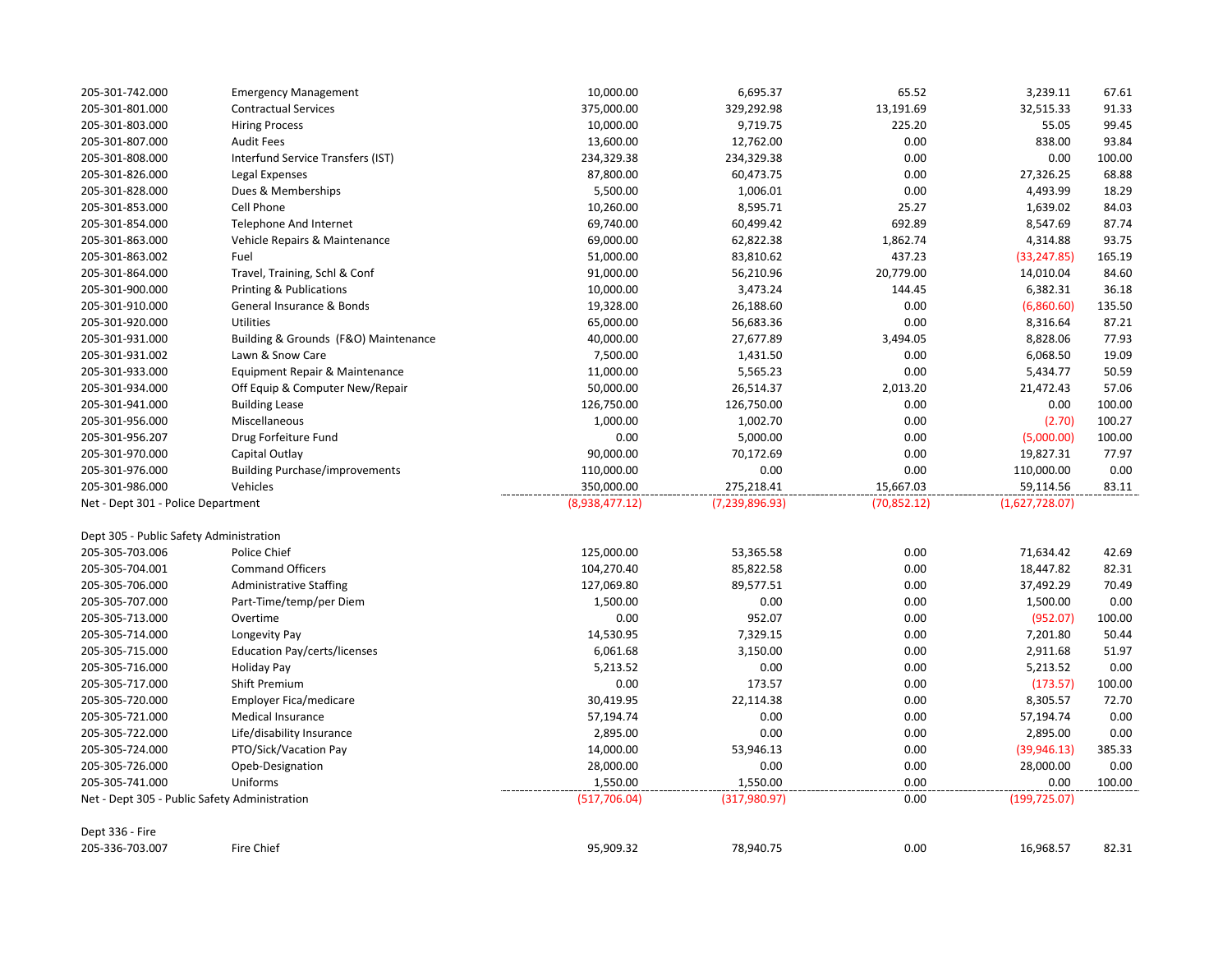| 205-301-742.000                               | <b>Emergency Management</b>           | 10,000.00                    | 6,695.37         | 65.52        | 3,239.11       | 67.61  |
|-----------------------------------------------|---------------------------------------|------------------------------|------------------|--------------|----------------|--------|
| 205-301-801.000                               | <b>Contractual Services</b>           | 375,000.00                   | 329,292.98       | 13,191.69    | 32,515.33      | 91.33  |
| 205-301-803.000                               | <b>Hiring Process</b>                 | 10,000.00                    | 9,719.75         | 225.20       | 55.05          | 99.45  |
| 205-301-807.000                               | <b>Audit Fees</b>                     | 13,600.00                    | 12,762.00        | 0.00         | 838.00         | 93.84  |
| 205-301-808.000                               | Interfund Service Transfers (IST)     | 234,329.38                   | 234,329.38       | 0.00         | 0.00           | 100.00 |
| 205-301-826.000                               | Legal Expenses                        | 87,800.00                    | 60,473.75        | 0.00         | 27,326.25      | 68.88  |
| 205-301-828.000                               | Dues & Memberships                    | 5,500.00                     | 1,006.01         | 0.00         | 4,493.99       | 18.29  |
| 205-301-853.000                               | Cell Phone                            | 10,260.00                    | 8,595.71         | 25.27        | 1,639.02       | 84.03  |
| 205-301-854.000                               | Telephone And Internet                | 69,740.00                    | 60,499.42        | 692.89       | 8,547.69       | 87.74  |
| 205-301-863.000                               | Vehicle Repairs & Maintenance         | 69,000.00                    | 62,822.38        | 1,862.74     | 4,314.88       | 93.75  |
| 205-301-863.002                               | Fuel                                  | 51,000.00                    | 83,810.62        | 437.23       | (33, 247.85)   | 165.19 |
| 205-301-864.000                               | Travel, Training, Schl & Conf         | 91,000.00                    | 56,210.96        | 20,779.00    | 14,010.04      | 84.60  |
| 205-301-900.000                               | Printing & Publications               | 10,000.00                    | 3,473.24         | 144.45       | 6,382.31       | 36.18  |
| 205-301-910.000                               | General Insurance & Bonds             | 19,328.00                    | 26,188.60        | 0.00         | (6,860.60)     | 135.50 |
| 205-301-920.000                               | Utilities                             | 65,000.00                    | 56,683.36        | 0.00         | 8,316.64       | 87.21  |
| 205-301-931.000                               | Building & Grounds (F&O) Maintenance  | 40,000.00                    | 27,677.89        | 3,494.05     | 8,828.06       | 77.93  |
| 205-301-931.002                               | Lawn & Snow Care                      | 7,500.00                     | 1,431.50         | 0.00         | 6,068.50       | 19.09  |
| 205-301-933.000                               | Equipment Repair & Maintenance        | 11,000.00                    | 5,565.23         | 0.00         | 5,434.77       | 50.59  |
| 205-301-934.000                               | Off Equip & Computer New/Repair       | 50,000.00                    | 26,514.37        | 2,013.20     | 21,472.43      | 57.06  |
| 205-301-941.000                               | <b>Building Lease</b>                 | 126,750.00                   | 126,750.00       | 0.00         | 0.00           | 100.00 |
| 205-301-956.000                               | Miscellaneous                         | 1,000.00                     | 1,002.70         | 0.00         | (2.70)         | 100.27 |
| 205-301-956.207                               | Drug Forfeiture Fund                  | 0.00                         | 5,000.00         | 0.00         | (5,000.00)     | 100.00 |
| 205-301-970.000                               | Capital Outlay                        | 90,000.00                    | 70,172.69        | 0.00         | 19,827.31      | 77.97  |
| 205-301-976.000                               | <b>Building Purchase/improvements</b> | 110,000.00                   | 0.00             | 0.00         | 110,000.00     | 0.00   |
|                                               |                                       |                              |                  |              |                |        |
| 205-301-986.000                               | Vehicles                              |                              | 275,218.41       | 15,667.03    | 59,114.56      | 83.11  |
| Net - Dept 301 - Police Department            |                                       | 350,000.00<br>(8,938,477.12) | (7, 239, 896.93) | (70, 852.12) | (1,627,728.07) |        |
|                                               |                                       |                              |                  |              |                |        |
| Dept 305 - Public Safety Administration       |                                       |                              |                  |              |                |        |
| 205-305-703.006                               | Police Chief                          | 125,000.00                   | 53,365.58        | 0.00         | 71,634.42      | 42.69  |
| 205-305-704.001                               | <b>Command Officers</b>               | 104,270.40                   | 85,822.58        | 0.00         | 18,447.82      | 82.31  |
| 205-305-706.000                               | <b>Administrative Staffing</b>        | 127,069.80                   | 89,577.51        | 0.00         | 37,492.29      | 70.49  |
| 205-305-707.000                               | Part-Time/temp/per Diem               | 1,500.00                     | 0.00             | 0.00         | 1,500.00       | 0.00   |
| 205-305-713.000                               | Overtime                              | 0.00                         | 952.07           | 0.00         | (952.07)       | 100.00 |
| 205-305-714.000                               | Longevity Pay                         | 14,530.95                    | 7,329.15         | 0.00         | 7,201.80       | 50.44  |
| 205-305-715.000                               | <b>Education Pay/certs/licenses</b>   | 6,061.68                     | 3,150.00         | 0.00         | 2,911.68       | 51.97  |
| 205-305-716.000                               | <b>Holiday Pay</b>                    | 5,213.52                     | 0.00             | 0.00         | 5,213.52       | 0.00   |
| 205-305-717.000                               | Shift Premium                         | 0.00                         | 173.57           | 0.00         | (173.57)       | 100.00 |
| 205-305-720.000                               | Employer Fica/medicare                | 30,419.95                    | 22,114.38        | 0.00         | 8,305.57       | 72.70  |
| 205-305-721.000                               | <b>Medical Insurance</b>              | 57,194.74                    | 0.00             | 0.00         | 57,194.74      | 0.00   |
| 205-305-722.000                               | Life/disability Insurance             | 2,895.00                     | 0.00             | 0.00         | 2,895.00       | 0.00   |
| 205-305-724.000                               | PTO/Sick/Vacation Pay                 | 14,000.00                    | 53,946.13        | 0.00         | (39,946.13)    | 385.33 |
| 205-305-726.000                               | Opeb-Designation                      | 28,000.00                    | 0.00             | 0.00         | 28,000.00      | 0.00   |
| 205-305-741.000                               | Uniforms                              | 1,550.00                     | 1,550.00         | 0.00         | 0.00           | 100.00 |
| Net - Dept 305 - Public Safety Administration |                                       | (517, 706.04)                | (317,980.97)     | 0.00         | (199, 725.07)  |        |
|                                               |                                       |                              |                  |              |                |        |
| Dept 336 - Fire                               |                                       |                              |                  |              |                |        |
| 205-336-703.007                               | Fire Chief                            | 95,909.32                    | 78,940.75        | 0.00         | 16,968.57      | 82.31  |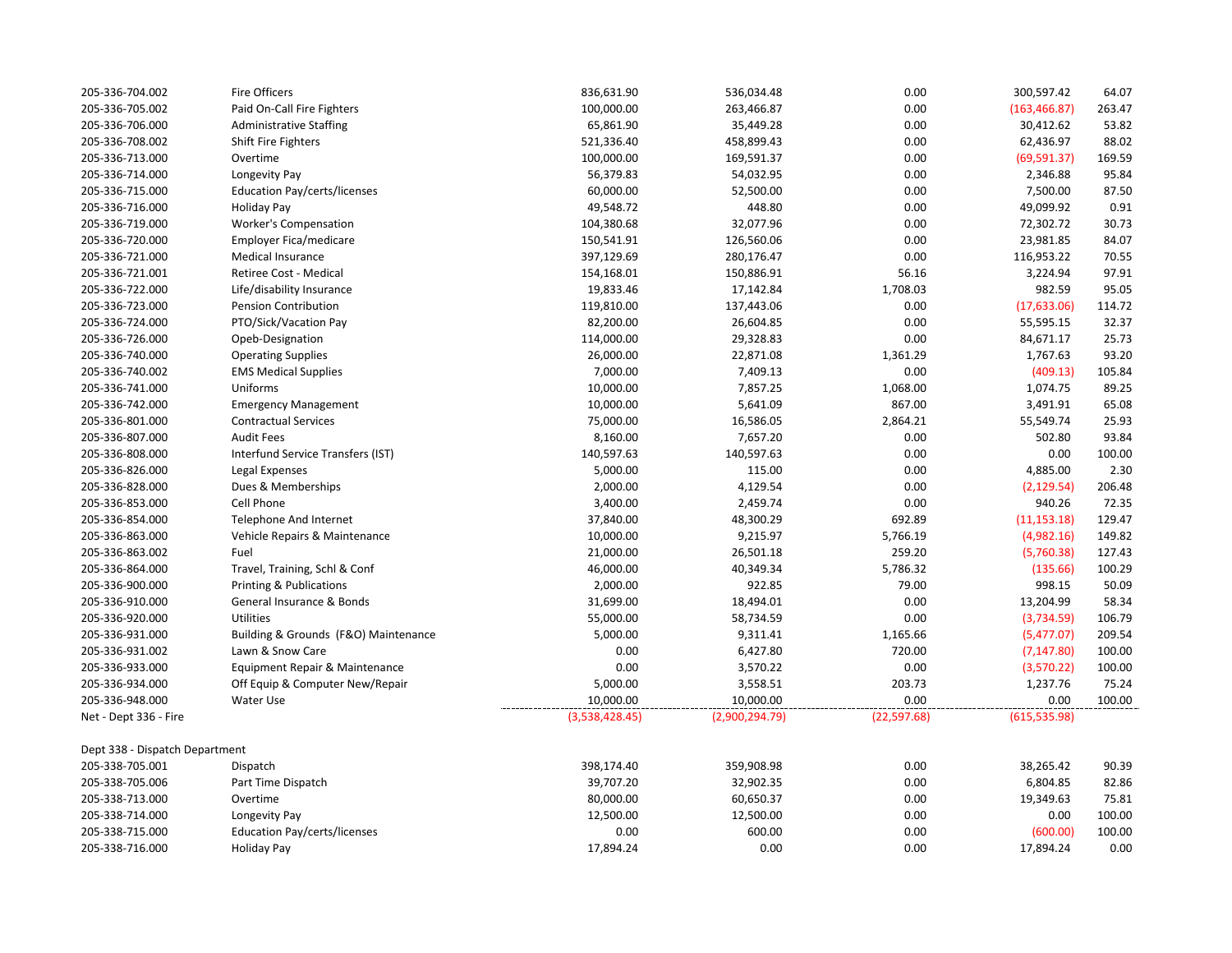| 205-336-704.002                | <b>Fire Officers</b>                 | 836,631.90     | 536,034.48     | 0.00        | 300,597.42    | 64.07  |
|--------------------------------|--------------------------------------|----------------|----------------|-------------|---------------|--------|
| 205-336-705.002                | Paid On-Call Fire Fighters           | 100,000.00     | 263,466.87     | 0.00        | (163, 466.87) | 263.47 |
| 205-336-706.000                | <b>Administrative Staffing</b>       | 65,861.90      | 35,449.28      | 0.00        | 30,412.62     | 53.82  |
| 205-336-708.002                | Shift Fire Fighters                  | 521,336.40     | 458,899.43     | 0.00        | 62,436.97     | 88.02  |
| 205-336-713.000                | Overtime                             | 100,000.00     | 169,591.37     | 0.00        | (69, 591.37)  | 169.59 |
| 205-336-714.000                | Longevity Pay                        | 56,379.83      | 54,032.95      | 0.00        | 2,346.88      | 95.84  |
| 205-336-715.000                | <b>Education Pay/certs/licenses</b>  | 60,000.00      | 52,500.00      | 0.00        | 7,500.00      | 87.50  |
| 205-336-716.000                | <b>Holiday Pay</b>                   | 49,548.72      | 448.80         | 0.00        | 49,099.92     | 0.91   |
| 205-336-719.000                | <b>Worker's Compensation</b>         | 104,380.68     | 32,077.96      | 0.00        | 72,302.72     | 30.73  |
| 205-336-720.000                | Employer Fica/medicare               | 150,541.91     | 126,560.06     | 0.00        | 23,981.85     | 84.07  |
| 205-336-721.000                | <b>Medical Insurance</b>             | 397,129.69     | 280,176.47     | 0.00        | 116,953.22    | 70.55  |
| 205-336-721.001                | Retiree Cost - Medical               | 154,168.01     | 150,886.91     | 56.16       | 3,224.94      | 97.91  |
| 205-336-722.000                | Life/disability Insurance            | 19,833.46      | 17,142.84      | 1,708.03    | 982.59        | 95.05  |
| 205-336-723.000                | <b>Pension Contribution</b>          | 119,810.00     | 137,443.06     | 0.00        | (17,633.06)   | 114.72 |
| 205-336-724.000                | PTO/Sick/Vacation Pay                | 82,200.00      | 26,604.85      | 0.00        | 55,595.15     | 32.37  |
| 205-336-726.000                | Opeb-Designation                     | 114,000.00     | 29,328.83      | 0.00        | 84,671.17     | 25.73  |
| 205-336-740.000                | <b>Operating Supplies</b>            | 26,000.00      | 22,871.08      | 1,361.29    | 1,767.63      | 93.20  |
| 205-336-740.002                | <b>EMS Medical Supplies</b>          | 7,000.00       | 7,409.13       | 0.00        | (409.13)      | 105.84 |
| 205-336-741.000                | Uniforms                             | 10,000.00      | 7,857.25       | 1,068.00    | 1,074.75      | 89.25  |
| 205-336-742.000                | <b>Emergency Management</b>          | 10,000.00      | 5,641.09       | 867.00      | 3,491.91      | 65.08  |
| 205-336-801.000                | <b>Contractual Services</b>          | 75,000.00      | 16,586.05      | 2,864.21    | 55,549.74     | 25.93  |
| 205-336-807.000                | <b>Audit Fees</b>                    | 8,160.00       | 7,657.20       | 0.00        | 502.80        | 93.84  |
| 205-336-808.000                | Interfund Service Transfers (IST)    | 140,597.63     | 140,597.63     | 0.00        | 0.00          | 100.00 |
| 205-336-826.000                | Legal Expenses                       | 5,000.00       | 115.00         | 0.00        | 4,885.00      | 2.30   |
| 205-336-828.000                | Dues & Memberships                   | 2,000.00       | 4,129.54       | 0.00        | (2, 129.54)   | 206.48 |
| 205-336-853.000                | Cell Phone                           | 3,400.00       | 2,459.74       | 0.00        | 940.26        | 72.35  |
| 205-336-854.000                | Telephone And Internet               | 37,840.00      | 48,300.29      | 692.89      | (11, 153.18)  | 129.47 |
| 205-336-863.000                | Vehicle Repairs & Maintenance        | 10,000.00      | 9,215.97       | 5,766.19    | (4,982.16)    | 149.82 |
| 205-336-863.002                | Fuel                                 | 21,000.00      | 26,501.18      | 259.20      | (5,760.38)    | 127.43 |
| 205-336-864.000                | Travel, Training, Schl & Conf        | 46,000.00      | 40,349.34      | 5,786.32    | (135.66)      | 100.29 |
| 205-336-900.000                | Printing & Publications              | 2,000.00       | 922.85         | 79.00       | 998.15        | 50.09  |
| 205-336-910.000                | General Insurance & Bonds            | 31,699.00      | 18,494.01      | 0.00        | 13,204.99     | 58.34  |
| 205-336-920.000                | <b>Utilities</b>                     | 55,000.00      | 58,734.59      | 0.00        | (3,734.59)    | 106.79 |
| 205-336-931.000                | Building & Grounds (F&O) Maintenance | 5,000.00       | 9,311.41       | 1,165.66    | (5,477.07)    | 209.54 |
| 205-336-931.002                | Lawn & Snow Care                     | 0.00           | 6,427.80       | 720.00      | (7, 147.80)   | 100.00 |
| 205-336-933.000                | Equipment Repair & Maintenance       | 0.00           | 3,570.22       | 0.00        | (3,570.22)    | 100.00 |
| 205-336-934.000                | Off Equip & Computer New/Repair      | 5,000.00       | 3,558.51       | 203.73      | 1,237.76      | 75.24  |
| 205-336-948.000                | Water Use                            | 10,000.00      | 10,000.00      | 0.00        | 0.00          | 100.00 |
| Net - Dept 336 - Fire          |                                      | (3,538,428.45) | (2,900,294.79) | (22,597.68) | (615, 535.98) |        |
|                                |                                      |                |                |             |               |        |
| Dept 338 - Dispatch Department |                                      |                |                |             |               |        |
| 205-338-705.001                | Dispatch                             | 398,174.40     | 359,908.98     | 0.00        | 38,265.42     | 90.39  |
| 205-338-705.006                | Part Time Dispatch                   | 39,707.20      | 32,902.35      | 0.00        | 6,804.85      | 82.86  |
| 205-338-713.000                | Overtime                             | 80,000.00      | 60,650.37      | 0.00        | 19,349.63     | 75.81  |
| 205-338-714.000                | Longevity Pay                        | 12,500.00      | 12,500.00      | 0.00        | 0.00          | 100.00 |
| 205-338-715.000                | <b>Education Pay/certs/licenses</b>  | 0.00           | 600.00         | 0.00        | (600.00)      | 100.00 |
| 205-338-716.000                | Holiday Pay                          | 17,894.24      | 0.00           | 0.00        | 17,894.24     | 0.00   |
|                                |                                      |                |                |             |               |        |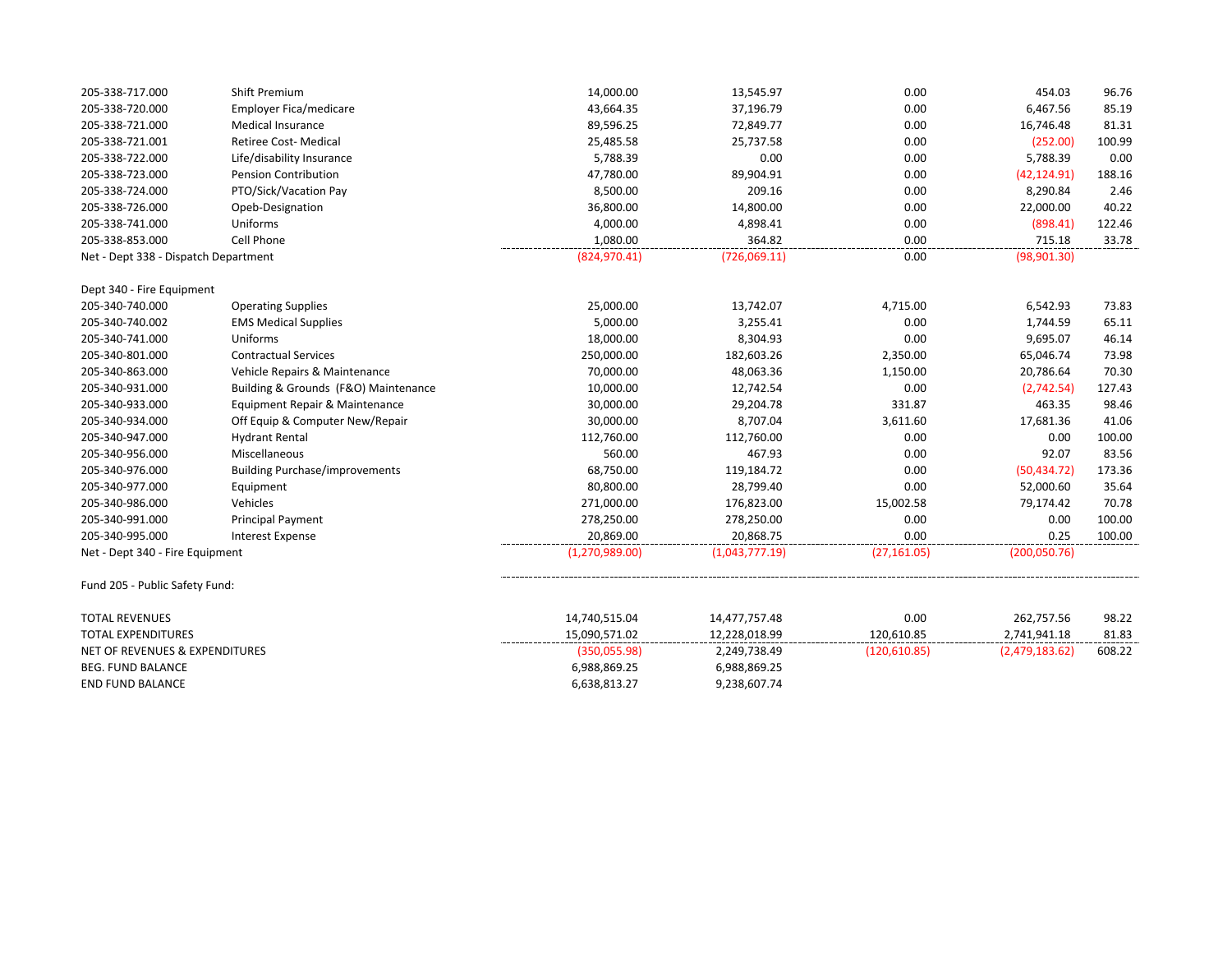| 205-338-717.000                      | <b>Shift Premium</b>                  | 14,000.00      | 13,545.97      | 0.00          | 454.03         | 96.76  |
|--------------------------------------|---------------------------------------|----------------|----------------|---------------|----------------|--------|
| 205-338-720.000                      | Employer Fica/medicare                | 43,664.35      | 37,196.79      | 0.00          | 6,467.56       | 85.19  |
| 205-338-721.000                      | <b>Medical Insurance</b>              | 89,596.25      | 72,849.77      | 0.00          | 16,746.48      | 81.31  |
| 205-338-721.001                      | Retiree Cost-Medical                  | 25,485.58      | 25,737.58      | 0.00          | (252.00)       | 100.99 |
| 205-338-722.000                      | Life/disability Insurance             | 5,788.39       | 0.00           | 0.00          | 5,788.39       | 0.00   |
| 205-338-723.000                      | <b>Pension Contribution</b>           | 47,780.00      | 89,904.91      | 0.00          | (42, 124.91)   | 188.16 |
| 205-338-724.000                      | PTO/Sick/Vacation Pay                 | 8,500.00       | 209.16         | 0.00          | 8,290.84       | 2.46   |
| 205-338-726.000                      | Opeb-Designation                      | 36,800.00      | 14,800.00      | 0.00          | 22,000.00      | 40.22  |
| 205-338-741.000                      | Uniforms                              | 4,000.00       | 4,898.41       | 0.00          | (898.41)       | 122.46 |
| 205-338-853.000                      | Cell Phone                            | 1,080.00       | 364.82         | 0.00          | 715.18         | 33.78  |
| Net - Dept 338 - Dispatch Department |                                       | (824, 970.41)  | (726,069.11)   | 0.00          | (98, 901.30)   |        |
| Dept 340 - Fire Equipment            |                                       |                |                |               |                |        |
| 205-340-740.000                      | <b>Operating Supplies</b>             | 25,000.00      | 13,742.07      | 4,715.00      | 6,542.93       | 73.83  |
| 205-340-740.002                      | <b>EMS Medical Supplies</b>           | 5,000.00       | 3,255.41       | 0.00          | 1,744.59       | 65.11  |
| 205-340-741.000                      | Uniforms                              | 18,000.00      | 8,304.93       | 0.00          | 9,695.07       | 46.14  |
| 205-340-801.000                      | <b>Contractual Services</b>           | 250,000.00     | 182,603.26     | 2,350.00      | 65,046.74      | 73.98  |
| 205-340-863.000                      | Vehicle Repairs & Maintenance         | 70,000.00      | 48,063.36      | 1,150.00      | 20,786.64      | 70.30  |
| 205-340-931.000                      | Building & Grounds (F&O) Maintenance  | 10,000.00      | 12,742.54      | 0.00          | (2,742.54)     | 127.43 |
| 205-340-933.000                      | Equipment Repair & Maintenance        | 30,000.00      | 29,204.78      | 331.87        | 463.35         | 98.46  |
| 205-340-934.000                      | Off Equip & Computer New/Repair       | 30,000.00      | 8,707.04       | 3,611.60      | 17,681.36      | 41.06  |
| 205-340-947.000                      | <b>Hydrant Rental</b>                 | 112,760.00     | 112,760.00     | 0.00          | 0.00           | 100.00 |
| 205-340-956.000                      | Miscellaneous                         | 560.00         | 467.93         | 0.00          | 92.07          | 83.56  |
| 205-340-976.000                      | <b>Building Purchase/improvements</b> | 68,750.00      | 119,184.72     | 0.00          | (50, 434.72)   | 173.36 |
| 205-340-977.000                      | Equipment                             | 80,800.00      | 28,799.40      | 0.00          | 52,000.60      | 35.64  |
| 205-340-986.000                      | Vehicles                              | 271,000.00     | 176,823.00     | 15,002.58     | 79,174.42      | 70.78  |
| 205-340-991.000                      | <b>Principal Payment</b>              | 278,250.00     | 278,250.00     | 0.00          | 0.00           | 100.00 |
| 205-340-995.000                      | <b>Interest Expense</b>               | 20,869.00      | 20,868.75      | 0.00          | 0.25           | 100.00 |
| Net - Dept 340 - Fire Equipment      |                                       | (1,270,989.00) | (1,043,777.19) | (27, 161.05)  | (200,050.76)   |        |
| Fund 205 - Public Safety Fund:       |                                       |                |                |               |                |        |
| <b>TOTAL REVENUES</b>                |                                       | 14,740,515.04  | 14,477,757.48  | 0.00          | 262,757.56     | 98.22  |
| <b>TOTAL EXPENDITURES</b>            |                                       | 15,090,571.02  | 12,228,018.99  | 120,610.85    | 2,741,941.18   | 81.83  |
| NET OF REVENUES & EXPENDITURES       |                                       | (350,055.98)   | 2,249,738.49   | (120, 610.85) | (2,479,183.62) | 608.22 |
| <b>BEG. FUND BALANCE</b>             |                                       | 6,988,869.25   | 6,988,869.25   |               |                |        |
| <b>END FUND BALANCE</b>              |                                       | 6,638,813.27   | 9,238,607.74   |               |                |        |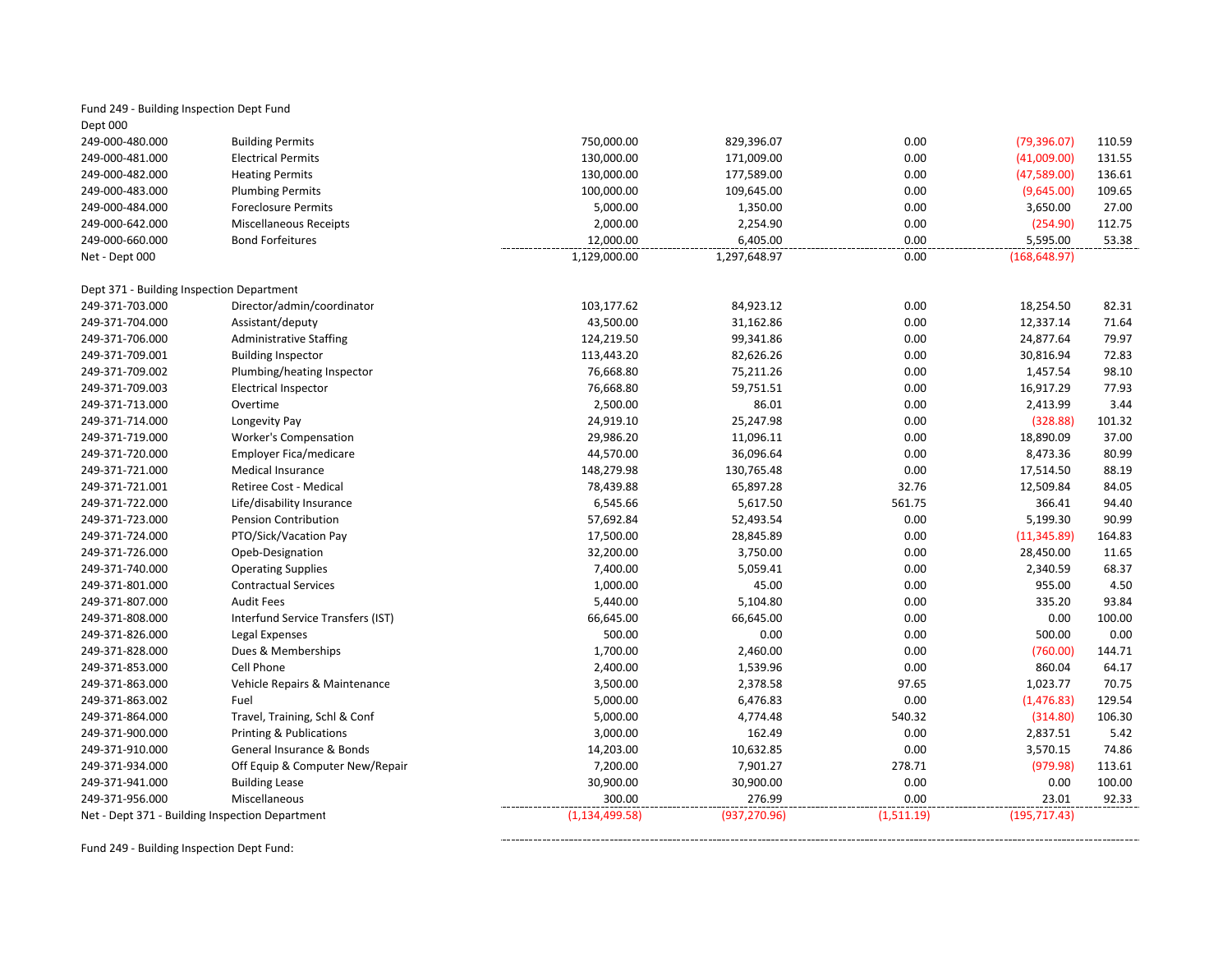| Fund 249 - Building Inspection Dept Fund        |                                   |                  |               |            |               |        |
|-------------------------------------------------|-----------------------------------|------------------|---------------|------------|---------------|--------|
| Dept 000                                        |                                   |                  |               |            |               |        |
| 249-000-480.000                                 | <b>Building Permits</b>           | 750,000.00       | 829,396.07    | 0.00       | (79, 396.07)  | 110.59 |
| 249-000-481.000                                 | <b>Electrical Permits</b>         | 130,000.00       | 171,009.00    | 0.00       | (41,009.00)   | 131.55 |
| 249-000-482.000                                 | <b>Heating Permits</b>            | 130,000.00       | 177,589.00    | 0.00       | (47,589.00)   | 136.61 |
| 249-000-483.000                                 | <b>Plumbing Permits</b>           | 100,000.00       | 109,645.00    | 0.00       | (9,645.00)    | 109.65 |
| 249-000-484.000                                 | <b>Foreclosure Permits</b>        | 5,000.00         | 1,350.00      | 0.00       | 3,650.00      | 27.00  |
| 249-000-642.000                                 | <b>Miscellaneous Receipts</b>     | 2,000.00         | 2,254.90      | 0.00       | (254.90)      | 112.75 |
| 249-000-660.000                                 | <b>Bond Forfeitures</b>           | 12,000.00        | 6,405.00      | 0.00       | 5,595.00      | 53.38  |
| Net - Dept 000                                  |                                   | 1,129,000.00     | 1,297,648.97  | 0.00       | (168, 648.97) |        |
|                                                 |                                   |                  |               |            |               |        |
| Dept 371 - Building Inspection Department       |                                   |                  |               |            |               |        |
| 249-371-703.000                                 | Director/admin/coordinator        | 103,177.62       | 84,923.12     | 0.00       | 18,254.50     | 82.31  |
| 249-371-704.000                                 | Assistant/deputy                  | 43,500.00        | 31,162.86     | 0.00       | 12,337.14     | 71.64  |
| 249-371-706.000                                 | <b>Administrative Staffing</b>    | 124,219.50       | 99,341.86     | 0.00       | 24,877.64     | 79.97  |
| 249-371-709.001                                 | <b>Building Inspector</b>         | 113,443.20       | 82,626.26     | 0.00       | 30,816.94     | 72.83  |
| 249-371-709.002                                 | Plumbing/heating Inspector        | 76,668.80        | 75,211.26     | 0.00       | 1,457.54      | 98.10  |
| 249-371-709.003                                 | <b>Electrical Inspector</b>       | 76,668.80        | 59,751.51     | 0.00       | 16,917.29     | 77.93  |
| 249-371-713.000                                 | Overtime                          | 2,500.00         | 86.01         | 0.00       | 2,413.99      | 3.44   |
| 249-371-714.000                                 | Longevity Pay                     | 24,919.10        | 25,247.98     | 0.00       | (328.88)      | 101.32 |
| 249-371-719.000                                 | <b>Worker's Compensation</b>      | 29,986.20        | 11,096.11     | 0.00       | 18,890.09     | 37.00  |
| 249-371-720.000                                 | Employer Fica/medicare            | 44,570.00        | 36,096.64     | 0.00       | 8,473.36      | 80.99  |
| 249-371-721.000                                 | Medical Insurance                 | 148,279.98       | 130,765.48    | 0.00       | 17,514.50     | 88.19  |
| 249-371-721.001                                 | Retiree Cost - Medical            | 78,439.88        | 65,897.28     | 32.76      | 12,509.84     | 84.05  |
| 249-371-722.000                                 | Life/disability Insurance         | 6,545.66         | 5,617.50      | 561.75     | 366.41        | 94.40  |
| 249-371-723.000                                 | <b>Pension Contribution</b>       | 57,692.84        | 52,493.54     | 0.00       | 5,199.30      | 90.99  |
| 249-371-724.000                                 | PTO/Sick/Vacation Pay             | 17,500.00        | 28,845.89     | 0.00       | (11, 345.89)  | 164.83 |
| 249-371-726.000                                 | Opeb-Designation                  | 32,200.00        | 3,750.00      | 0.00       | 28,450.00     | 11.65  |
| 249-371-740.000                                 | <b>Operating Supplies</b>         | 7,400.00         | 5,059.41      | 0.00       | 2,340.59      | 68.37  |
| 249-371-801.000                                 | <b>Contractual Services</b>       | 1,000.00         | 45.00         | 0.00       | 955.00        | 4.50   |
| 249-371-807.000                                 | <b>Audit Fees</b>                 | 5,440.00         | 5,104.80      | 0.00       | 335.20        | 93.84  |
| 249-371-808.000                                 | Interfund Service Transfers (IST) | 66,645.00        | 66,645.00     | 0.00       | 0.00          | 100.00 |
| 249-371-826.000                                 | Legal Expenses                    | 500.00           | 0.00          | 0.00       | 500.00        | 0.00   |
| 249-371-828.000                                 | Dues & Memberships                | 1,700.00         | 2,460.00      | 0.00       | (760.00)      | 144.71 |
| 249-371-853.000                                 | Cell Phone                        | 2,400.00         | 1,539.96      | 0.00       | 860.04        | 64.17  |
| 249-371-863.000                                 | Vehicle Repairs & Maintenance     | 3,500.00         | 2,378.58      | 97.65      | 1,023.77      | 70.75  |
| 249-371-863.002                                 | Fuel                              | 5,000.00         | 6,476.83      | 0.00       | (1,476.83)    | 129.54 |
| 249-371-864.000                                 | Travel, Training, Schl & Conf     | 5,000.00         | 4,774.48      | 540.32     | (314.80)      | 106.30 |
| 249-371-900.000                                 | Printing & Publications           | 3,000.00         | 162.49        | 0.00       | 2,837.51      | 5.42   |
| 249-371-910.000                                 | General Insurance & Bonds         | 14,203.00        | 10,632.85     | 0.00       | 3,570.15      | 74.86  |
| 249-371-934.000                                 | Off Equip & Computer New/Repair   | 7,200.00         | 7,901.27      | 278.71     | (979.98)      | 113.61 |
| 249-371-941.000                                 | <b>Building Lease</b>             | 30,900.00        | 30,900.00     | 0.00       | 0.00          | 100.00 |
| 249-371-956.000                                 | Miscellaneous                     | 300.00           | 276.99        | 0.00       | 23.01         | 92.33  |
| Net - Dept 371 - Building Inspection Department |                                   | (1, 134, 499.58) | (937, 270.96) | (1,511.19) | (195, 717.43) |        |
|                                                 |                                   |                  |               |            |               |        |

Fund 249 ‐ Building Inspection Dept Fund: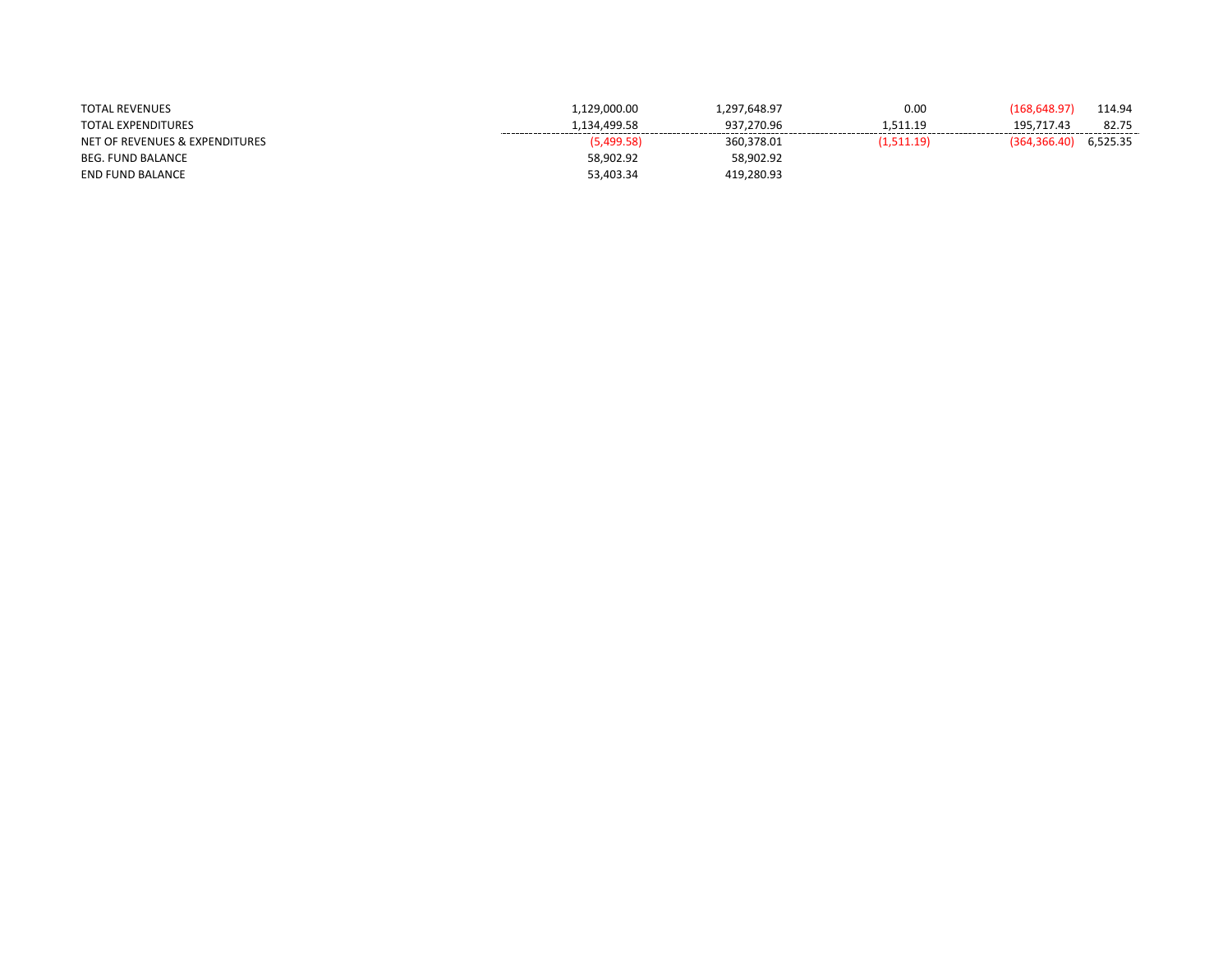| <b>TOTAL REVENUES</b>          | 1.129.000.00 | 1,297,648.97 | 0.00      | (168.648.97)  | 114.94   |
|--------------------------------|--------------|--------------|-----------|---------------|----------|
| TOTAL EXPENDITURES             | 1.134.499.58 | 937.270.96   | 1.511.19  | 195.717.43    | 82.75    |
| NET OF REVENUES & EXPENDITURES | (5,499.58)   | 360.378.01   | 1,511.19) | (364, 366.40) | 6.525.35 |
| <b>BEG. FUND BALANCE</b>       | 58,902.92    | 58,902.92    |           |               |          |
| END FUND BALANCE               | 53.403.34    | 419,280.93   |           |               |          |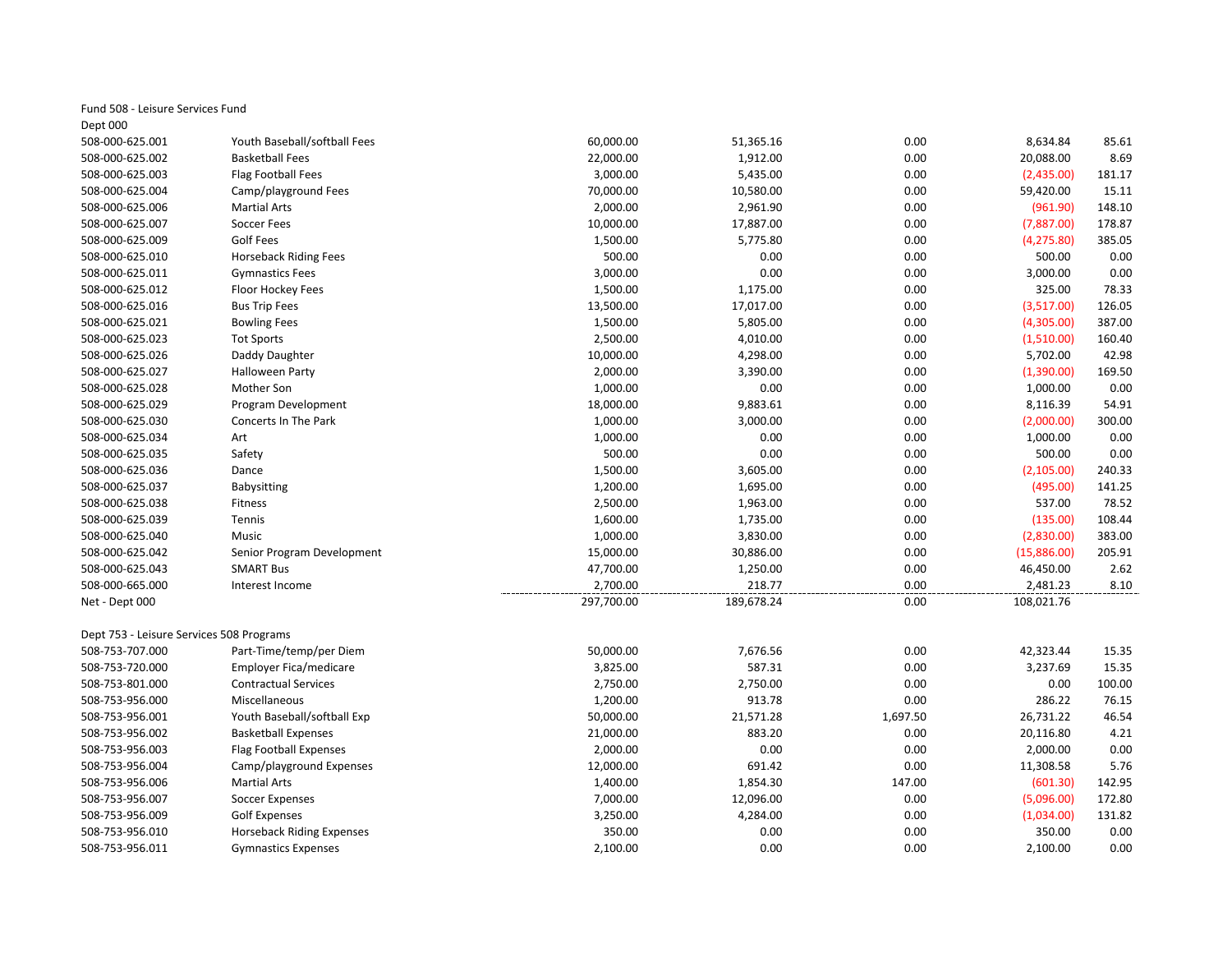| Dept 000                                 |                                  |            |            |          |             |        |
|------------------------------------------|----------------------------------|------------|------------|----------|-------------|--------|
| 508-000-625.001                          | Youth Baseball/softball Fees     | 60,000.00  | 51,365.16  | 0.00     | 8,634.84    | 85.61  |
| 508-000-625.002                          | <b>Basketball Fees</b>           | 22,000.00  | 1,912.00   | 0.00     | 20,088.00   | 8.69   |
| 508-000-625.003                          | Flag Football Fees               | 3,000.00   | 5,435.00   | 0.00     | (2,435.00)  | 181.17 |
| 508-000-625.004                          | Camp/playground Fees             | 70,000.00  | 10,580.00  | 0.00     | 59,420.00   | 15.11  |
| 508-000-625.006                          | <b>Martial Arts</b>              | 2,000.00   | 2,961.90   | 0.00     | (961.90)    | 148.10 |
| 508-000-625.007                          | Soccer Fees                      | 10,000.00  | 17,887.00  | 0.00     | (7,887.00)  | 178.87 |
| 508-000-625.009                          | <b>Golf Fees</b>                 | 1,500.00   | 5,775.80   | 0.00     | (4, 275.80) | 385.05 |
| 508-000-625.010                          | <b>Horseback Riding Fees</b>     | 500.00     | 0.00       | 0.00     | 500.00      | 0.00   |
| 508-000-625.011                          | <b>Gymnastics Fees</b>           | 3,000.00   | 0.00       | 0.00     | 3,000.00    | 0.00   |
| 508-000-625.012                          | Floor Hockey Fees                | 1,500.00   | 1,175.00   | 0.00     | 325.00      | 78.33  |
| 508-000-625.016                          | <b>Bus Trip Fees</b>             | 13,500.00  | 17,017.00  | 0.00     | (3,517.00)  | 126.05 |
| 508-000-625.021                          | <b>Bowling Fees</b>              | 1,500.00   | 5,805.00   | 0.00     | (4,305.00)  | 387.00 |
| 508-000-625.023                          | <b>Tot Sports</b>                | 2,500.00   | 4,010.00   | 0.00     | (1,510.00)  | 160.40 |
| 508-000-625.026                          | Daddy Daughter                   | 10,000.00  | 4,298.00   | 0.00     | 5,702.00    | 42.98  |
| 508-000-625.027                          | Halloween Party                  | 2,000.00   | 3,390.00   | 0.00     | (1,390.00)  | 169.50 |
| 508-000-625.028                          | Mother Son                       | 1,000.00   | 0.00       | 0.00     | 1,000.00    | 0.00   |
| 508-000-625.029                          | Program Development              | 18,000.00  | 9,883.61   | 0.00     | 8,116.39    | 54.91  |
| 508-000-625.030                          | Concerts In The Park             | 1,000.00   | 3,000.00   | 0.00     | (2,000.00)  | 300.00 |
| 508-000-625.034                          | Art                              | 1,000.00   | 0.00       | 0.00     | 1,000.00    | 0.00   |
| 508-000-625.035                          | Safety                           | 500.00     | 0.00       | 0.00     | 500.00      | 0.00   |
| 508-000-625.036                          | Dance                            | 1,500.00   | 3,605.00   | 0.00     | (2, 105.00) | 240.33 |
| 508-000-625.037                          | <b>Babysitting</b>               | 1,200.00   | 1,695.00   | 0.00     | (495.00)    | 141.25 |
| 508-000-625.038                          | Fitness                          | 2,500.00   | 1,963.00   | 0.00     | 537.00      | 78.52  |
| 508-000-625.039                          | Tennis                           | 1,600.00   | 1,735.00   | 0.00     | (135.00)    | 108.44 |
| 508-000-625.040                          | Music                            | 1,000.00   | 3,830.00   | 0.00     | (2,830.00)  | 383.00 |
| 508-000-625.042                          | Senior Program Development       | 15,000.00  | 30,886.00  | 0.00     | (15,886.00) | 205.91 |
| 508-000-625.043                          | <b>SMART Bus</b>                 | 47,700.00  | 1,250.00   | 0.00     | 46,450.00   | 2.62   |
| 508-000-665.000                          | Interest Income                  | 2,700.00   | 218.77     | 0.00     | 2,481.23    | 8.10   |
| Net - Dept 000                           |                                  | 297,700.00 | 189,678.24 | 0.00     | 108,021.76  |        |
|                                          |                                  |            |            |          |             |        |
| Dept 753 - Leisure Services 508 Programs |                                  |            |            |          |             |        |
| 508-753-707.000                          | Part-Time/temp/per Diem          | 50,000.00  | 7,676.56   | 0.00     | 42,323.44   | 15.35  |
| 508-753-720.000                          | Employer Fica/medicare           | 3,825.00   | 587.31     | 0.00     | 3,237.69    | 15.35  |
| 508-753-801.000                          | <b>Contractual Services</b>      | 2,750.00   | 2,750.00   | 0.00     | 0.00        | 100.00 |
| 508-753-956.000                          | Miscellaneous                    | 1,200.00   | 913.78     | 0.00     | 286.22      | 76.15  |
| 508-753-956.001                          | Youth Baseball/softball Exp      | 50,000.00  | 21,571.28  | 1,697.50 | 26,731.22   | 46.54  |
| 508-753-956.002                          | <b>Basketball Expenses</b>       | 21,000.00  | 883.20     | 0.00     | 20,116.80   | 4.21   |
| 508-753-956.003                          | <b>Flag Football Expenses</b>    | 2,000.00   | 0.00       | 0.00     | 2,000.00    | 0.00   |
| 508-753-956.004                          | Camp/playground Expenses         | 12,000.00  | 691.42     | 0.00     | 11,308.58   | 5.76   |
| 508-753-956.006                          | <b>Martial Arts</b>              | 1,400.00   | 1,854.30   | 147.00   | (601.30)    | 142.95 |
| 508-753-956.007                          | Soccer Expenses                  | 7,000.00   | 12,096.00  | 0.00     | (5,096.00)  | 172.80 |
| 508-753-956.009                          | <b>Golf Expenses</b>             | 3,250.00   | 4,284.00   | 0.00     | (1,034.00)  | 131.82 |
| 508-753-956.010                          | <b>Horseback Riding Expenses</b> | 350.00     | 0.00       | 0.00     | 350.00      | 0.00   |
| 508-753-956.011                          | <b>Gymnastics Expenses</b>       | 2,100.00   | 0.00       | 0.00     | 2,100.00    | 0.00   |
|                                          |                                  |            |            |          |             |        |

Fund 508 ‐ Leisure Services Fund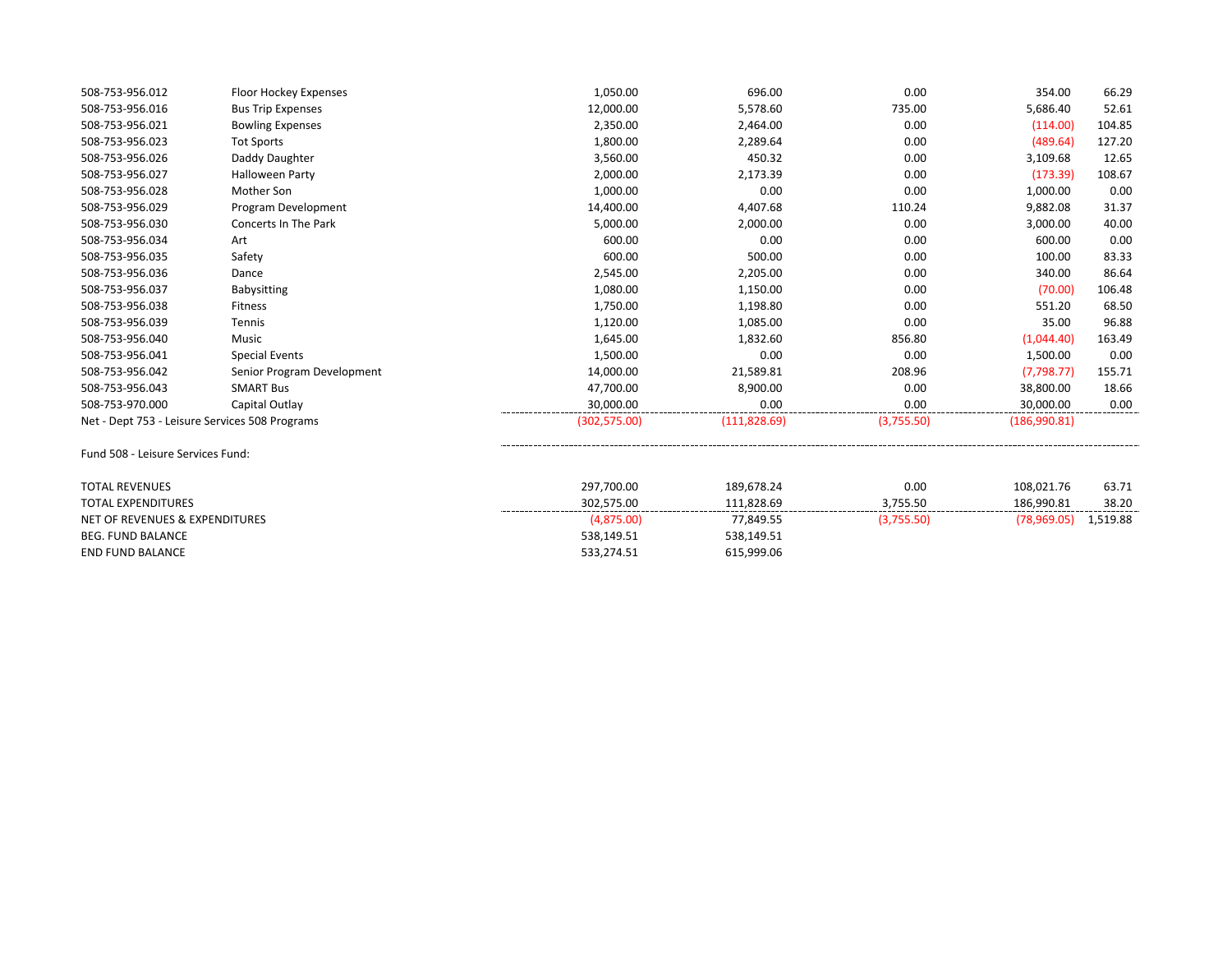| 508-753-956.012                                | <b>Floor Hockey Expenses</b> | 1,050.00      | 696.00        | 0.00       | 354.00       | 66.29  |
|------------------------------------------------|------------------------------|---------------|---------------|------------|--------------|--------|
| 508-753-956.016                                | <b>Bus Trip Expenses</b>     | 12,000.00     | 5,578.60      | 735.00     | 5,686.40     | 52.61  |
| 508-753-956.021                                | <b>Bowling Expenses</b>      | 2,350.00      | 2,464.00      | 0.00       | (114.00)     | 104.85 |
| 508-753-956.023                                | <b>Tot Sports</b>            | 1,800.00      | 2,289.64      | 0.00       | (489.64)     | 127.20 |
| 508-753-956.026                                | Daddy Daughter               | 3,560.00      | 450.32        | 0.00       | 3,109.68     | 12.65  |
| 508-753-956.027                                | Halloween Party              | 2,000.00      | 2,173.39      | 0.00       | (173.39)     | 108.67 |
| 508-753-956.028                                | Mother Son                   | 1,000.00      | 0.00          | 0.00       | 1,000.00     | 0.00   |
| 508-753-956.029                                | Program Development          | 14,400.00     | 4,407.68      | 110.24     | 9,882.08     | 31.37  |
| 508-753-956.030                                | Concerts In The Park         | 5,000.00      | 2,000.00      | 0.00       | 3,000.00     | 40.00  |
| 508-753-956.034                                | Art                          | 600.00        | 0.00          | 0.00       | 600.00       | 0.00   |
| 508-753-956.035                                | Safety                       | 600.00        | 500.00        | 0.00       | 100.00       | 83.33  |
| 508-753-956.036                                | Dance                        | 2,545.00      | 2,205.00      | 0.00       | 340.00       | 86.64  |
| 508-753-956.037                                | Babysitting                  | 1,080.00      | 1,150.00      | 0.00       | (70.00)      | 106.48 |
| 508-753-956.038                                | Fitness                      | 1,750.00      | 1,198.80      | 0.00       | 551.20       | 68.50  |
| 508-753-956.039                                | Tennis                       | 1,120.00      | 1,085.00      | 0.00       | 35.00        | 96.88  |
| 508-753-956.040                                | Music                        | 1,645.00      | 1,832.60      | 856.80     | (1,044.40)   | 163.49 |
| 508-753-956.041                                | <b>Special Events</b>        | 1,500.00      | 0.00          | 0.00       | 1,500.00     | 0.00   |
| 508-753-956.042                                | Senior Program Development   | 14,000.00     | 21,589.81     | 208.96     | (7,798.77)   | 155.71 |
| 508-753-956.043                                | <b>SMART Bus</b>             | 47,700.00     | 8,900.00      | 0.00       | 38,800.00    | 18.66  |
| 508-753-970.000                                | Capital Outlay               | 30,000.00     | 0.00          | 0.00       | 30,000.00    | 0.00   |
| Net - Dept 753 - Leisure Services 508 Programs |                              | (302, 575.00) | (111, 828.69) | (3,755.50) | (186,990.81) |        |
| Fund 508 - Leisure Services Fund:              |                              |               |               |            |              |        |
| <b>TOTAL REVENUES</b>                          |                              | 297,700.00    | 189,678.24    | 0.00       | 108,021.76   | 63.71  |

| TUTAL NEVENUES                 | 297,700.00 | 109.070.24 | v.vu       | 100.021.70  | <b>05.7T</b> |
|--------------------------------|------------|------------|------------|-------------|--------------|
| TOTAL EXPENDITURES             | 302.575.00 | 111.828.69 | 1.755.50   | 186.990.81  | 38.20        |
| NET OF REVENUES & EXPENDITURES | (4,875.00) | 77,849.55  | (755.50, د | (78,969.05) | 1,519.88     |
| BEG. FUND BALANCE              | 538.149.51 | 538,149.51 |            |             |              |
| <b>END FUND BALANCE</b>        | 533,274.51 | 615,999.06 |            |             |              |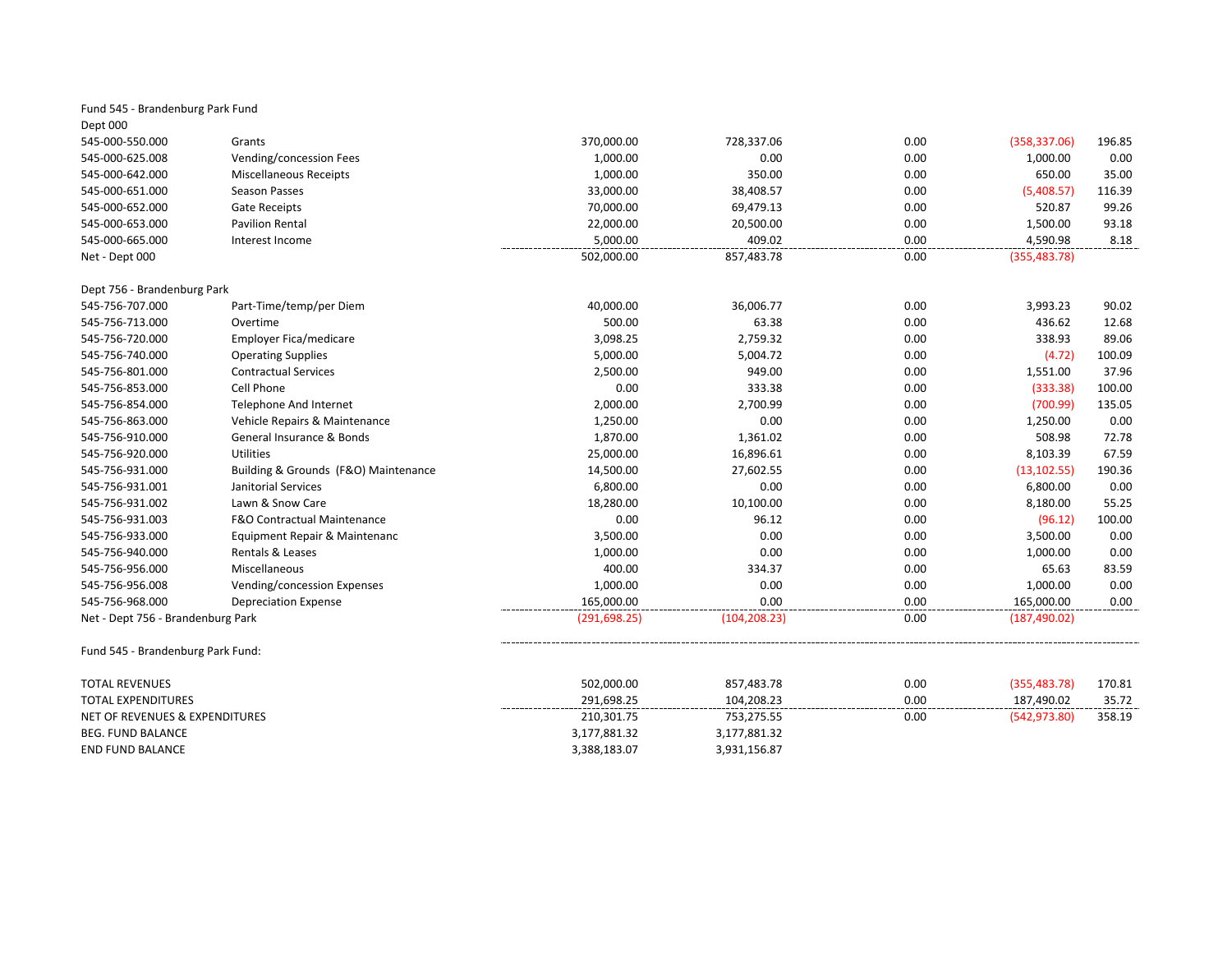| Fund 545 - Brandenburg Park Fund  |                                      |               |               |      |               |        |
|-----------------------------------|--------------------------------------|---------------|---------------|------|---------------|--------|
| Dept 000                          |                                      |               |               |      |               |        |
| 545-000-550.000                   | Grants                               | 370,000.00    | 728,337.06    | 0.00 | (358, 337.06) | 196.85 |
| 545-000-625.008                   | Vending/concession Fees              | 1,000.00      | 0.00          | 0.00 | 1,000.00      | 0.00   |
| 545-000-642.000                   | <b>Miscellaneous Receipts</b>        | 1,000.00      | 350.00        | 0.00 | 650.00        | 35.00  |
| 545-000-651.000                   | Season Passes                        | 33,000.00     | 38,408.57     | 0.00 | (5,408.57)    | 116.39 |
| 545-000-652.000                   | Gate Receipts                        | 70,000.00     | 69,479.13     | 0.00 | 520.87        | 99.26  |
| 545-000-653.000                   | <b>Pavilion Rental</b>               | 22,000.00     | 20,500.00     | 0.00 | 1,500.00      | 93.18  |
| 545-000-665.000                   | Interest Income                      | 5,000.00      | 409.02        | 0.00 | 4,590.98      | 8.18   |
| Net - Dept 000                    |                                      | 502,000.00    | 857,483.78    | 0.00 | (355, 483.78) |        |
| Dept 756 - Brandenburg Park       |                                      |               |               |      |               |        |
| 545-756-707.000                   | Part-Time/temp/per Diem              | 40,000.00     | 36,006.77     | 0.00 | 3,993.23      | 90.02  |
| 545-756-713.000                   | Overtime                             | 500.00        | 63.38         | 0.00 | 436.62        | 12.68  |
| 545-756-720.000                   | Employer Fica/medicare               | 3,098.25      | 2,759.32      | 0.00 | 338.93        | 89.06  |
| 545-756-740.000                   | <b>Operating Supplies</b>            | 5,000.00      | 5,004.72      | 0.00 | (4.72)        | 100.09 |
| 545-756-801.000                   | <b>Contractual Services</b>          | 2,500.00      | 949.00        | 0.00 | 1,551.00      | 37.96  |
| 545-756-853.000                   | Cell Phone                           | 0.00          | 333.38        | 0.00 | (333.38)      | 100.00 |
| 545-756-854.000                   | <b>Telephone And Internet</b>        | 2,000.00      | 2,700.99      | 0.00 | (700.99)      | 135.05 |
| 545-756-863.000                   | Vehicle Repairs & Maintenance        | 1,250.00      | 0.00          | 0.00 | 1,250.00      | 0.00   |
| 545-756-910.000                   | General Insurance & Bonds            | 1,870.00      | 1,361.02      | 0.00 | 508.98        | 72.78  |
| 545-756-920.000                   | Utilities                            | 25,000.00     | 16,896.61     | 0.00 | 8,103.39      | 67.59  |
| 545-756-931.000                   | Building & Grounds (F&O) Maintenance | 14,500.00     | 27,602.55     | 0.00 | (13, 102.55)  | 190.36 |
| 545-756-931.001                   | Janitorial Services                  | 6,800.00      | 0.00          | 0.00 | 6,800.00      | 0.00   |
| 545-756-931.002                   | Lawn & Snow Care                     | 18,280.00     | 10,100.00     | 0.00 | 8,180.00      | 55.25  |
| 545-756-931.003                   | F&O Contractual Maintenance          | 0.00          | 96.12         | 0.00 | (96.12)       | 100.00 |
| 545-756-933.000                   | Equipment Repair & Maintenanc        | 3,500.00      | 0.00          | 0.00 | 3,500.00      | 0.00   |
| 545-756-940.000                   | Rentals & Leases                     | 1,000.00      | 0.00          | 0.00 | 1,000.00      | 0.00   |
| 545-756-956.000                   | Miscellaneous                        | 400.00        | 334.37        | 0.00 | 65.63         | 83.59  |
| 545-756-956.008                   | Vending/concession Expenses          | 1,000.00      | 0.00          | 0.00 | 1,000.00      | 0.00   |
| 545-756-968.000                   | <b>Depreciation Expense</b>          | 165,000.00    | 0.00          | 0.00 | 165,000.00    | 0.00   |
| Net - Dept 756 - Brandenburg Park |                                      | (291, 698.25) | (104, 208.23) | 0.00 | (187, 490.02) |        |
| Fund 545 - Brandenburg Park Fund: |                                      |               |               |      |               |        |
| <b>TOTAL REVENUES</b>             |                                      | 502,000.00    | 857,483.78    | 0.00 | (355, 483.78) | 170.81 |
| <b>TOTAL EXPENDITURES</b>         |                                      | 291,698.25    | 104,208.23    | 0.00 | 187,490.02    | 35.72  |
| NET OF REVENUES & EXPENDITURES    |                                      | 210,301.75    | 753,275.55    | 0.00 | (542, 973.80) | 358.19 |

END FUND BALANCE 3,388,183.07 3,931,156.87

BALANCE 3,177,881.32 3,177,881.32

BEG. FUND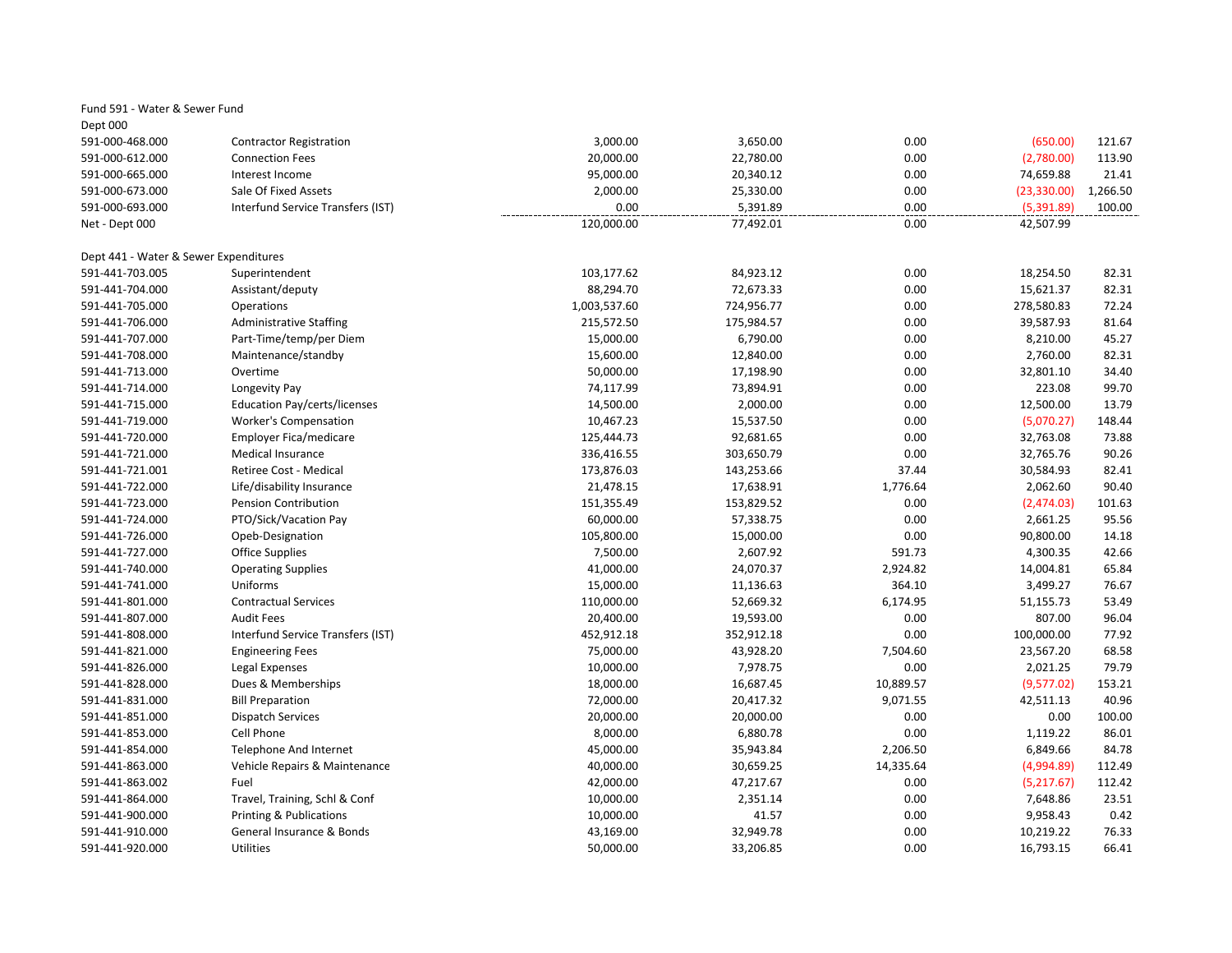| Fund 591 - Water & Sewer Fund         |                                     |              |            |           |              |          |
|---------------------------------------|-------------------------------------|--------------|------------|-----------|--------------|----------|
| Dept 000                              |                                     |              |            |           |              |          |
| 591-000-468.000                       | <b>Contractor Registration</b>      | 3,000.00     | 3,650.00   | 0.00      | (650.00)     | 121.67   |
| 591-000-612.000                       | <b>Connection Fees</b>              | 20,000.00    | 22,780.00  | 0.00      | (2,780.00)   | 113.90   |
| 591-000-665.000                       | Interest Income                     | 95,000.00    | 20,340.12  | 0.00      | 74,659.88    | 21.41    |
| 591-000-673.000                       | Sale Of Fixed Assets                | 2,000.00     | 25,330.00  | 0.00      | (23, 330.00) | 1,266.50 |
| 591-000-693.000                       | Interfund Service Transfers (IST)   | 0.00         | 5,391.89   | 0.00      | (5,391.89)   | 100.00   |
| Net - Dept 000                        |                                     | 120,000.00   | 77,492.01  | 0.00      | 42,507.99    |          |
| Dept 441 - Water & Sewer Expenditures |                                     |              |            |           |              |          |
| 591-441-703.005                       | Superintendent                      | 103,177.62   | 84,923.12  | 0.00      | 18,254.50    | 82.31    |
| 591-441-704.000                       | Assistant/deputy                    | 88,294.70    | 72,673.33  | 0.00      | 15,621.37    | 82.31    |
| 591-441-705.000                       | Operations                          | 1,003,537.60 | 724,956.77 | 0.00      | 278,580.83   | 72.24    |
| 591-441-706.000                       | <b>Administrative Staffing</b>      | 215,572.50   | 175,984.57 | 0.00      | 39,587.93    | 81.64    |
| 591-441-707.000                       | Part-Time/temp/per Diem             | 15,000.00    | 6,790.00   | 0.00      | 8,210.00     | 45.27    |
| 591-441-708.000                       | Maintenance/standby                 | 15,600.00    | 12,840.00  | 0.00      | 2,760.00     | 82.31    |
| 591-441-713.000                       | Overtime                            | 50,000.00    | 17,198.90  | 0.00      | 32,801.10    | 34.40    |
| 591-441-714.000                       | Longevity Pay                       | 74,117.99    | 73,894.91  | 0.00      | 223.08       | 99.70    |
| 591-441-715.000                       | <b>Education Pay/certs/licenses</b> | 14,500.00    | 2,000.00   | 0.00      | 12,500.00    | 13.79    |
| 591-441-719.000                       | <b>Worker's Compensation</b>        | 10,467.23    | 15,537.50  | 0.00      | (5,070.27)   | 148.44   |
| 591-441-720.000                       | Employer Fica/medicare              | 125,444.73   | 92,681.65  | 0.00      | 32,763.08    | 73.88    |
| 591-441-721.000                       | Medical Insurance                   | 336,416.55   | 303,650.79 | 0.00      | 32,765.76    | 90.26    |
| 591-441-721.001                       | Retiree Cost - Medical              | 173,876.03   | 143,253.66 | 37.44     | 30,584.93    | 82.41    |
| 591-441-722.000                       | Life/disability Insurance           | 21,478.15    | 17,638.91  | 1,776.64  | 2,062.60     | 90.40    |
| 591-441-723.000                       | <b>Pension Contribution</b>         | 151,355.49   | 153,829.52 | 0.00      | (2,474.03)   | 101.63   |
| 591-441-724.000                       | PTO/Sick/Vacation Pay               | 60,000.00    | 57,338.75  | 0.00      | 2,661.25     | 95.56    |
| 591-441-726.000                       | Opeb-Designation                    | 105,800.00   | 15,000.00  | 0.00      | 90,800.00    | 14.18    |
| 591-441-727.000                       | <b>Office Supplies</b>              | 7,500.00     | 2,607.92   | 591.73    | 4,300.35     | 42.66    |
| 591-441-740.000                       | <b>Operating Supplies</b>           | 41,000.00    | 24,070.37  | 2,924.82  | 14,004.81    | 65.84    |
| 591-441-741.000                       | Uniforms                            | 15,000.00    | 11,136.63  | 364.10    | 3,499.27     | 76.67    |
| 591-441-801.000                       | <b>Contractual Services</b>         | 110,000.00   | 52,669.32  | 6,174.95  | 51,155.73    | 53.49    |
| 591-441-807.000                       | <b>Audit Fees</b>                   | 20,400.00    | 19,593.00  | 0.00      | 807.00       | 96.04    |
| 591-441-808.000                       | Interfund Service Transfers (IST)   | 452,912.18   | 352,912.18 | 0.00      | 100,000.00   | 77.92    |
| 591-441-821.000                       | <b>Engineering Fees</b>             | 75,000.00    | 43,928.20  | 7,504.60  | 23,567.20    | 68.58    |
| 591-441-826.000                       | Legal Expenses                      | 10,000.00    | 7,978.75   | 0.00      | 2,021.25     | 79.79    |
| 591-441-828.000                       | Dues & Memberships                  | 18,000.00    | 16,687.45  | 10,889.57 | (9,577.02)   | 153.21   |
| 591-441-831.000                       | <b>Bill Preparation</b>             | 72,000.00    | 20,417.32  | 9,071.55  | 42,511.13    | 40.96    |
| 591-441-851.000                       | <b>Dispatch Services</b>            | 20,000.00    | 20,000.00  | 0.00      | 0.00         | 100.00   |
| 591-441-853.000                       | Cell Phone                          | 8,000.00     | 6,880.78   | 0.00      | 1,119.22     | 86.01    |
| 591-441-854.000                       | <b>Telephone And Internet</b>       | 45,000.00    | 35,943.84  | 2,206.50  | 6,849.66     | 84.78    |
| 591-441-863.000                       | Vehicle Repairs & Maintenance       | 40,000.00    | 30,659.25  | 14,335.64 | (4,994.89)   | 112.49   |
| 591-441-863.002                       | Fuel                                | 42,000.00    | 47,217.67  | 0.00      | (5,217.67)   | 112.42   |
| 591-441-864.000                       | Travel, Training, Schl & Conf       | 10,000.00    | 2,351.14   | 0.00      | 7,648.86     | 23.51    |
| 591-441-900.000                       | <b>Printing &amp; Publications</b>  | 10,000.00    | 41.57      | 0.00      | 9,958.43     | 0.42     |
| 591-441-910.000                       | General Insurance & Bonds           | 43,169.00    | 32,949.78  | 0.00      | 10,219.22    | 76.33    |
| 591-441-920.000                       | <b>Utilities</b>                    | 50,000.00    | 33,206.85  | 0.00      | 16,793.15    | 66.41    |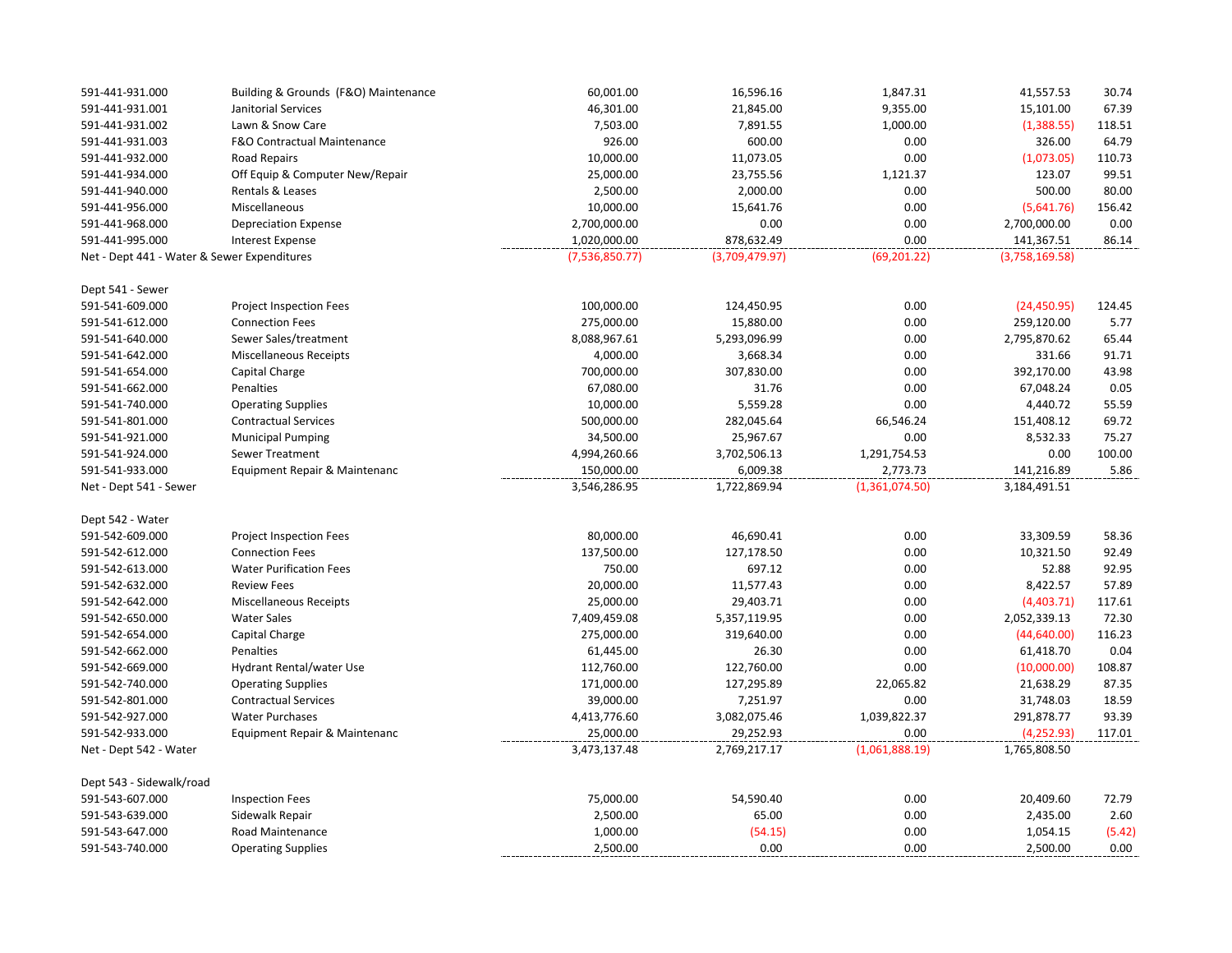| 591-441-931.000                             | Building & Grounds (F&O) Maintenance   | 60,001.00      | 16,596.16      | 1,847.31       | 41,557.53      | 30.74  |
|---------------------------------------------|----------------------------------------|----------------|----------------|----------------|----------------|--------|
| 591-441-931.001                             | Janitorial Services                    | 46,301.00      | 21,845.00      | 9,355.00       | 15,101.00      | 67.39  |
| 591-441-931.002                             | Lawn & Snow Care                       | 7,503.00       | 7,891.55       | 1,000.00       | (1,388.55)     | 118.51 |
| 591-441-931.003                             | <b>F&amp;O Contractual Maintenance</b> | 926.00         | 600.00         | 0.00           | 326.00         | 64.79  |
| 591-441-932.000                             | <b>Road Repairs</b>                    | 10,000.00      | 11,073.05      | 0.00           | (1,073.05)     | 110.73 |
| 591-441-934.000                             | Off Equip & Computer New/Repair        | 25,000.00      | 23,755.56      | 1,121.37       | 123.07         | 99.51  |
| 591-441-940.000                             | Rentals & Leases                       | 2,500.00       | 2,000.00       | 0.00           | 500.00         | 80.00  |
| 591-441-956.000                             | Miscellaneous                          | 10,000.00      | 15,641.76      | 0.00           | (5,641.76)     | 156.42 |
| 591-441-968.000                             | <b>Depreciation Expense</b>            | 2,700,000.00   | 0.00           | 0.00           | 2,700,000.00   | 0.00   |
| 591-441-995.000                             | <b>Interest Expense</b>                | 1,020,000.00   | 878,632.49     | 0.00           | 141,367.51     | 86.14  |
| Net - Dept 441 - Water & Sewer Expenditures |                                        | (7,536,850.77) | (3,709,479.97) | (69, 201.22)   | (3,758,169.58) |        |
| Dept 541 - Sewer                            |                                        |                |                |                |                |        |
| 591-541-609.000                             | <b>Project Inspection Fees</b>         | 100,000.00     | 124,450.95     | 0.00           | (24, 450.95)   | 124.45 |
| 591-541-612.000                             | <b>Connection Fees</b>                 | 275,000.00     | 15,880.00      | 0.00           | 259,120.00     | 5.77   |
| 591-541-640.000                             | Sewer Sales/treatment                  | 8,088,967.61   | 5,293,096.99   | 0.00           | 2,795,870.62   | 65.44  |
| 591-541-642.000                             | <b>Miscellaneous Receipts</b>          | 4,000.00       | 3,668.34       | 0.00           | 331.66         | 91.71  |
| 591-541-654.000                             | Capital Charge                         | 700,000.00     | 307,830.00     | 0.00           | 392,170.00     | 43.98  |
| 591-541-662.000                             | Penalties                              | 67,080.00      | 31.76          | 0.00           | 67,048.24      | 0.05   |
| 591-541-740.000                             | <b>Operating Supplies</b>              | 10,000.00      | 5,559.28       | 0.00           | 4,440.72       | 55.59  |
| 591-541-801.000                             | <b>Contractual Services</b>            | 500,000.00     | 282,045.64     | 66,546.24      | 151,408.12     | 69.72  |
| 591-541-921.000                             | <b>Municipal Pumping</b>               | 34,500.00      | 25,967.67      | 0.00           | 8,532.33       | 75.27  |
| 591-541-924.000                             | Sewer Treatment                        | 4,994,260.66   | 3,702,506.13   | 1,291,754.53   | 0.00           | 100.00 |
| 591-541-933.000                             | Equipment Repair & Maintenanc          | 150,000.00     | 6,009.38       | 2,773.73       | 141,216.89     | 5.86   |
| Net - Dept 541 - Sewer                      |                                        | 3,546,286.95   | 1,722,869.94   | (1,361,074.50) | 3,184,491.51   |        |
| Dept 542 - Water                            |                                        |                |                |                |                |        |
| 591-542-609.000                             | Project Inspection Fees                | 80,000.00      | 46,690.41      | 0.00           | 33,309.59      | 58.36  |
| 591-542-612.000                             | <b>Connection Fees</b>                 | 137,500.00     | 127,178.50     | 0.00           | 10,321.50      | 92.49  |
| 591-542-613.000                             | <b>Water Purification Fees</b>         | 750.00         | 697.12         | 0.00           | 52.88          | 92.95  |
| 591-542-632.000                             | <b>Review Fees</b>                     | 20,000.00      | 11,577.43      | 0.00           | 8,422.57       | 57.89  |
| 591-542-642.000                             | Miscellaneous Receipts                 | 25,000.00      | 29,403.71      | 0.00           | (4,403.71)     | 117.61 |
| 591-542-650.000                             | <b>Water Sales</b>                     | 7,409,459.08   | 5,357,119.95   | 0.00           | 2,052,339.13   | 72.30  |
| 591-542-654.000                             | Capital Charge                         | 275,000.00     | 319,640.00     | 0.00           | (44, 640.00)   | 116.23 |
| 591-542-662.000                             | Penalties                              | 61,445.00      | 26.30          | 0.00           | 61,418.70      | 0.04   |
| 591-542-669.000                             | Hydrant Rental/water Use               | 112,760.00     | 122,760.00     | 0.00           | (10,000.00)    | 108.87 |
| 591-542-740.000                             | <b>Operating Supplies</b>              | 171,000.00     | 127,295.89     | 22,065.82      | 21,638.29      | 87.35  |
| 591-542-801.000                             | <b>Contractual Services</b>            | 39,000.00      | 7,251.97       | 0.00           | 31,748.03      | 18.59  |
| 591-542-927.000                             | <b>Water Purchases</b>                 | 4,413,776.60   | 3,082,075.46   | 1,039,822.37   | 291,878.77     | 93.39  |
| 591-542-933.000                             | Equipment Repair & Maintenanc          | 25,000.00      | 29,252.93      | 0.00           | (4, 252.93)    | 117.01 |
| Net - Dept 542 - Water                      |                                        | 3,473,137.48   | 2,769,217.17   | (1,061,888.19) | 1,765,808.50   |        |
| Dept 543 - Sidewalk/road                    |                                        |                |                |                |                |        |
| 591-543-607.000                             | <b>Inspection Fees</b>                 | 75,000.00      | 54,590.40      | 0.00           | 20,409.60      | 72.79  |
| 591-543-639.000                             | Sidewalk Repair                        | 2,500.00       | 65.00          | 0.00           | 2,435.00       | 2.60   |
| 591-543-647.000                             | Road Maintenance                       | 1,000.00       | (54.15)        | 0.00           | 1,054.15       | (5.42) |
| 591-543-740.000                             | <b>Operating Supplies</b>              | 2,500.00       | 0.00           | 0.00           | 2,500.00       | 0.00   |